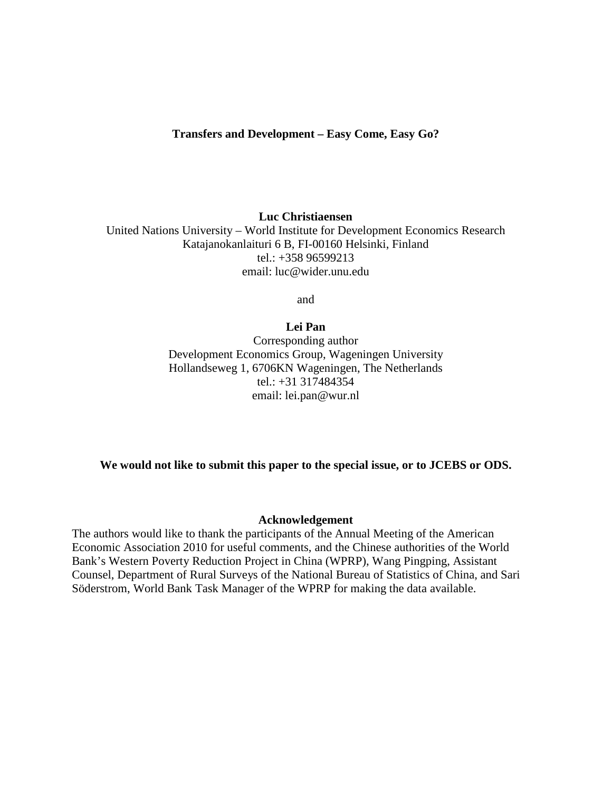**Luc Christiaensen** 

United Nations University – World Institute for Development Economics Research Katajanokanlaituri 6 B, FI-00160 Helsinki, Finland tel.: +358 96599213 email: luc@wider.unu.edu

and

## **Lei Pan**

Corresponding author Development Economics Group, Wageningen University Hollandseweg 1, 6706KN Wageningen, The Netherlands tel.: +31 317484354 email: lei.pan@wur.nl

## **We would not like to submit this paper to the special issue, or to JCEBS or ODS.**

## **Acknowledgement**

The authors would like to thank the participants of the Annual Meeting of the American Economic Association 2010 for useful comments, and the Chinese authorities of the World Bank's Western Poverty Reduction Project in China (WPRP), Wang Pingping, Assistant Counsel, Department of Rural Surveys of the National Bureau of Statistics of China, and Sari Söderstrom, World Bank Task Manager of the WPRP for making the data available.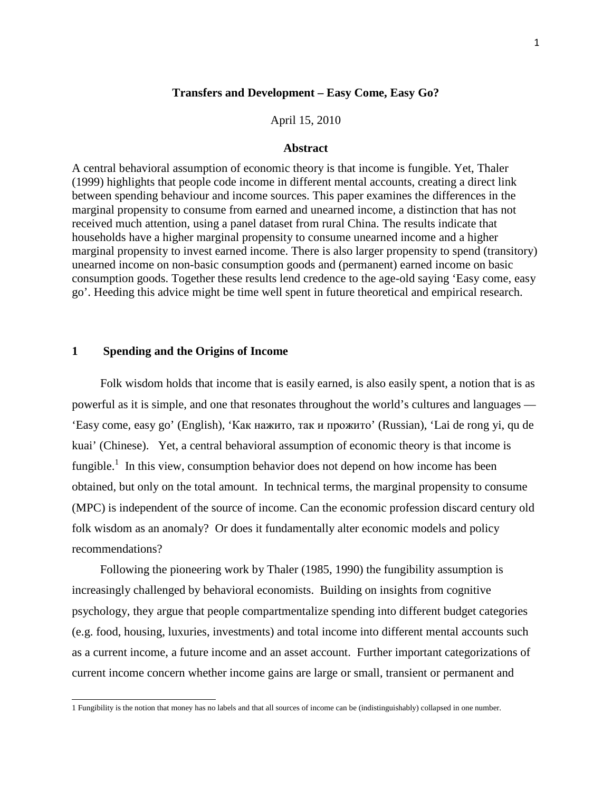## **Transfers and Development – Easy Come, Easy Go?**

April 15, 2010

### **Abstract**

A central behavioral assumption of economic theory is that income is fungible. Yet, Thaler (1999) highlights that people code income in different mental accounts, creating a direct link between spending behaviour and income sources. This paper examines the differences in the marginal propensity to consume from earned and unearned income, a distinction that has not received much attention, using a panel dataset from rural China. The results indicate that households have a higher marginal propensity to consume unearned income and a higher marginal propensity to invest earned income. There is also larger propensity to spend (transitory) unearned income on non-basic consumption goods and (permanent) earned income on basic consumption goods. Together these results lend credence to the age-old saying 'Easy come, easy go'. Heeding this advice might be time well spent in future theoretical and empirical research.

### **1 Spending and the Origins of Income**

Folk wisdom holds that income that is easily earned, is also easily spent, a notion that is as powerful as it is simple, and one that resonates throughout the world's cultures and languages — 'Easy come, easy go' (English), 'Как нажито, так и прожито' (Russian), 'Lai de rong yi, qu de kuai' (Chinese). Yet, a central behavioral assumption of economic theory is that income is fungible.<sup>1</sup> In this view, consumption behavior does not depend on how income has been obtained, but only on the total amount. In technical terms, the marginal propensity to consume (MPC) is independent of the source of income. Can the economic profession discard century old folk wisdom as an anomaly? Or does it fundamentally alter economic models and policy recommendations?

Following the pioneering work by Thaler (1985, 1990) the fungibility assumption is increasingly challenged by behavioral economists. Building on insights from cognitive psychology, they argue that people compartmentalize spending into different budget categories (e.g. food, housing, luxuries, investments) and total income into different mental accounts such as a current income, a future income and an asset account. Further important categorizations of current income concern whether income gains are large or small, transient or permanent and

 1 Fungibility is the notion that money has no labels and that all sources of income can be (indistinguishably) collapsed in one number.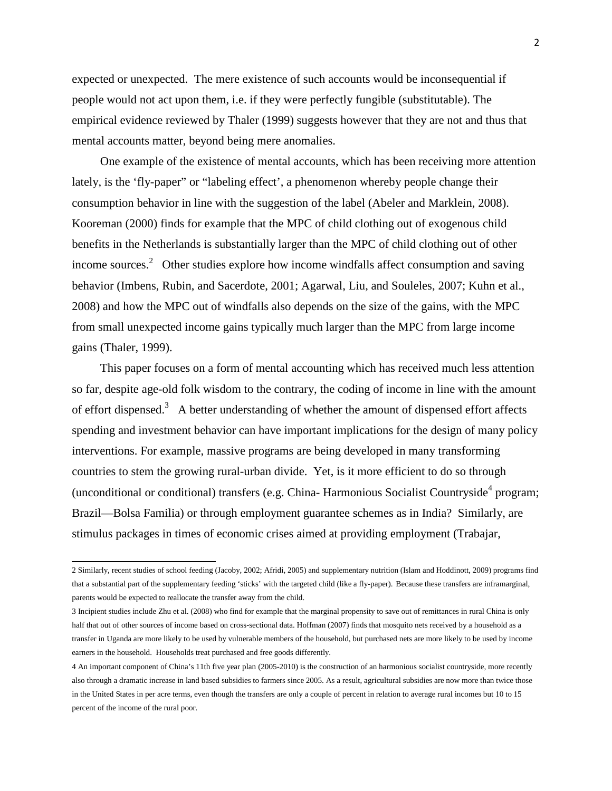expected or unexpected. The mere existence of such accounts would be inconsequential if people would not act upon them, i.e. if they were perfectly fungible (substitutable). The empirical evidence reviewed by Thaler (1999) suggests however that they are not and thus that mental accounts matter, beyond being mere anomalies.

One example of the existence of mental accounts, which has been receiving more attention lately, is the 'fly-paper" or "labeling effect', a phenomenon whereby people change their consumption behavior in line with the suggestion of the label (Abeler and Marklein, 2008). Kooreman (2000) finds for example that the MPC of child clothing out of exogenous child benefits in the Netherlands is substantially larger than the MPC of child clothing out of other income sources.<sup>2</sup> Other studies explore how income windfalls affect consumption and saving behavior (Imbens, Rubin, and Sacerdote, 2001; Agarwal, Liu, and Souleles, 2007; Kuhn et al., 2008) and how the MPC out of windfalls also depends on the size of the gains, with the MPC from small unexpected income gains typically much larger than the MPC from large income gains (Thaler, 1999).

This paper focuses on a form of mental accounting which has received much less attention so far, despite age-old folk wisdom to the contrary, the coding of income in line with the amount of effort dispensed.<sup>3</sup> A better understanding of whether the amount of dispensed effort affects spending and investment behavior can have important implications for the design of many policy interventions. For example, massive programs are being developed in many transforming countries to stem the growing rural-urban divide. Yet, is it more efficient to do so through (unconditional or conditional) transfers (e.g. China- Harmonious Socialist Countryside<sup>4</sup> program; Brazil—Bolsa Familia) or through employment guarantee schemes as in India? Similarly, are stimulus packages in times of economic crises aimed at providing employment (Trabajar,

 2 Similarly, recent studies of school feeding (Jacoby, 2002; Afridi, 2005) and supplementary nutrition (Islam and Hoddinott, 2009) programs find that a substantial part of the supplementary feeding 'sticks' with the targeted child (like a fly-paper). Because these transfers are inframarginal, parents would be expected to reallocate the transfer away from the child.

<sup>3</sup> Incipient studies include Zhu et al. (2008) who find for example that the marginal propensity to save out of remittances in rural China is only half that out of other sources of income based on cross-sectional data. Hoffman (2007) finds that mosquito nets received by a household as a transfer in Uganda are more likely to be used by vulnerable members of the household, but purchased nets are more likely to be used by income earners in the household. Households treat purchased and free goods differently.

<sup>4</sup> An important component of China's 11th five year plan (2005-2010) is the construction of an harmonious socialist countryside, more recently also through a dramatic increase in land based subsidies to farmers since 2005. As a result, agricultural subsidies are now more than twice those in the United States in per acre terms, even though the transfers are only a couple of percent in relation to average rural incomes but 10 to 15 percent of the income of the rural poor.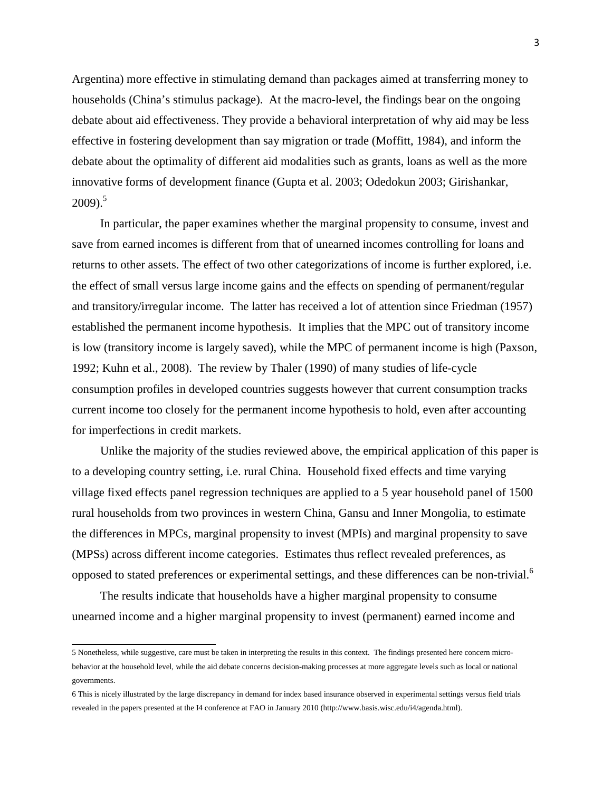Argentina) more effective in stimulating demand than packages aimed at transferring money to households (China's stimulus package). At the macro-level, the findings bear on the ongoing debate about aid effectiveness. They provide a behavioral interpretation of why aid may be less effective in fostering development than say migration or trade (Moffitt, 1984), and inform the debate about the optimality of different aid modalities such as grants, loans as well as the more innovative forms of development finance (Gupta et al. 2003; Odedokun 2003; Girishankar,  $2009$ ).<sup>5</sup>

In particular, the paper examines whether the marginal propensity to consume, invest and save from earned incomes is different from that of unearned incomes controlling for loans and returns to other assets. The effect of two other categorizations of income is further explored, i.e. the effect of small versus large income gains and the effects on spending of permanent/regular and transitory/irregular income. The latter has received a lot of attention since Friedman (1957) established the permanent income hypothesis. It implies that the MPC out of transitory income is low (transitory income is largely saved), while the MPC of permanent income is high (Paxson, 1992; Kuhn et al., 2008). The review by Thaler (1990) of many studies of life-cycle consumption profiles in developed countries suggests however that current consumption tracks current income too closely for the permanent income hypothesis to hold, even after accounting for imperfections in credit markets.

Unlike the majority of the studies reviewed above, the empirical application of this paper is to a developing country setting, i.e. rural China. Household fixed effects and time varying village fixed effects panel regression techniques are applied to a 5 year household panel of 1500 rural households from two provinces in western China, Gansu and Inner Mongolia, to estimate the differences in MPCs, marginal propensity to invest (MPIs) and marginal propensity to save (MPSs) across different income categories. Estimates thus reflect revealed preferences, as opposed to stated preferences or experimental settings, and these differences can be non-trivial.<sup>6</sup>

The results indicate that households have a higher marginal propensity to consume unearned income and a higher marginal propensity to invest (permanent) earned income and

 5 Nonetheless, while suggestive, care must be taken in interpreting the results in this context. The findings presented here concern microbehavior at the household level, while the aid debate concerns decision-making processes at more aggregate levels such as local or national governments.

<sup>6</sup> This is nicely illustrated by the large discrepancy in demand for index based insurance observed in experimental settings versus field trials revealed in the papers presented at the I4 conference at FAO in January 2010 (http://www.basis.wisc.edu/i4/agenda.html).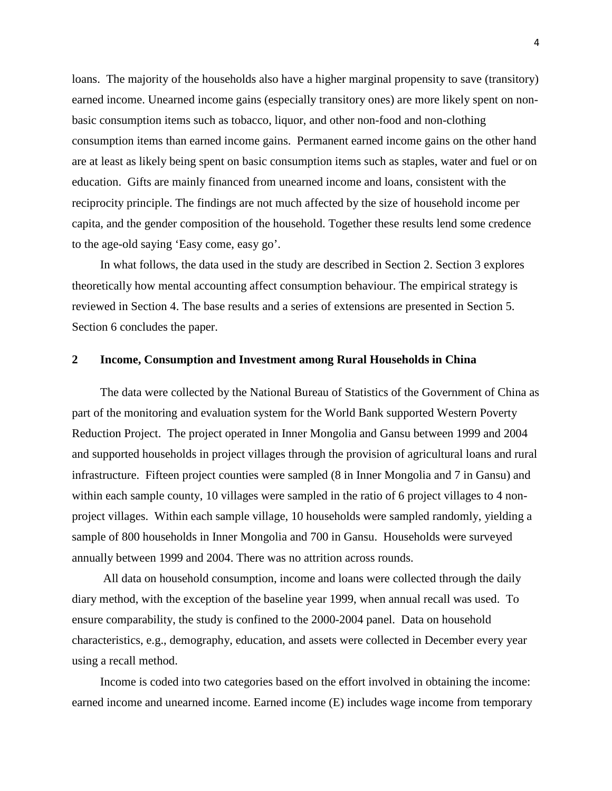loans. The majority of the households also have a higher marginal propensity to save (transitory) earned income. Unearned income gains (especially transitory ones) are more likely spent on nonbasic consumption items such as tobacco, liquor, and other non-food and non-clothing consumption items than earned income gains. Permanent earned income gains on the other hand are at least as likely being spent on basic consumption items such as staples, water and fuel or on education. Gifts are mainly financed from unearned income and loans, consistent with the reciprocity principle. The findings are not much affected by the size of household income per capita, and the gender composition of the household. Together these results lend some credence to the age-old saying 'Easy come, easy go'.

In what follows, the data used in the study are described in Section 2. Section 3 explores theoretically how mental accounting affect consumption behaviour. The empirical strategy is reviewed in Section 4. The base results and a series of extensions are presented in Section 5. Section 6 concludes the paper.

### **2 Income, Consumption and Investment among Rural Households in China**

The data were collected by the National Bureau of Statistics of the Government of China as part of the monitoring and evaluation system for the World Bank supported Western Poverty Reduction Project. The project operated in Inner Mongolia and Gansu between 1999 and 2004 and supported households in project villages through the provision of agricultural loans and rural infrastructure. Fifteen project counties were sampled (8 in Inner Mongolia and 7 in Gansu) and within each sample county, 10 villages were sampled in the ratio of 6 project villages to 4 nonproject villages. Within each sample village, 10 households were sampled randomly, yielding a sample of 800 households in Inner Mongolia and 700 in Gansu. Households were surveyed annually between 1999 and 2004. There was no attrition across rounds.

 All data on household consumption, income and loans were collected through the daily diary method, with the exception of the baseline year 1999, when annual recall was used. To ensure comparability, the study is confined to the 2000-2004 panel. Data on household characteristics, e.g., demography, education, and assets were collected in December every year using a recall method.

Income is coded into two categories based on the effort involved in obtaining the income: earned income and unearned income. Earned income (E) includes wage income from temporary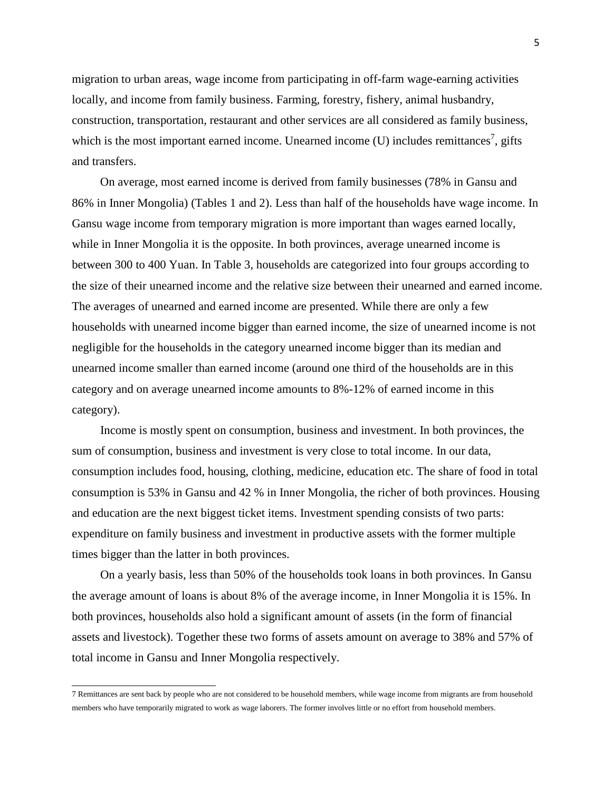migration to urban areas, wage income from participating in off-farm wage-earning activities locally, and income from family business. Farming, forestry, fishery, animal husbandry, construction, transportation, restaurant and other services are all considered as family business, which is the most important earned income. Unearned income  $(U)$  includes remittances<sup>7</sup>, gifts and transfers.

On average, most earned income is derived from family businesses (78% in Gansu and 86% in Inner Mongolia) (Tables 1 and 2). Less than half of the households have wage income. In Gansu wage income from temporary migration is more important than wages earned locally, while in Inner Mongolia it is the opposite. In both provinces, average unearned income is between 300 to 400 Yuan. In Table 3, households are categorized into four groups according to the size of their unearned income and the relative size between their unearned and earned income. The averages of unearned and earned income are presented. While there are only a few households with unearned income bigger than earned income, the size of unearned income is not negligible for the households in the category unearned income bigger than its median and unearned income smaller than earned income (around one third of the households are in this category and on average unearned income amounts to 8%-12% of earned income in this category).

Income is mostly spent on consumption, business and investment. In both provinces, the sum of consumption, business and investment is very close to total income. In our data, consumption includes food, housing, clothing, medicine, education etc. The share of food in total consumption is 53% in Gansu and 42 % in Inner Mongolia, the richer of both provinces. Housing and education are the next biggest ticket items. Investment spending consists of two parts: expenditure on family business and investment in productive assets with the former multiple times bigger than the latter in both provinces.

On a yearly basis, less than 50% of the households took loans in both provinces. In Gansu the average amount of loans is about 8% of the average income, in Inner Mongolia it is 15%. In both provinces, households also hold a significant amount of assets (in the form of financial assets and livestock). Together these two forms of assets amount on average to 38% and 57% of total income in Gansu and Inner Mongolia respectively.

 7 Remittances are sent back by people who are not considered to be household members, while wage income from migrants are from household members who have temporarily migrated to work as wage laborers. The former involves little or no effort from household members.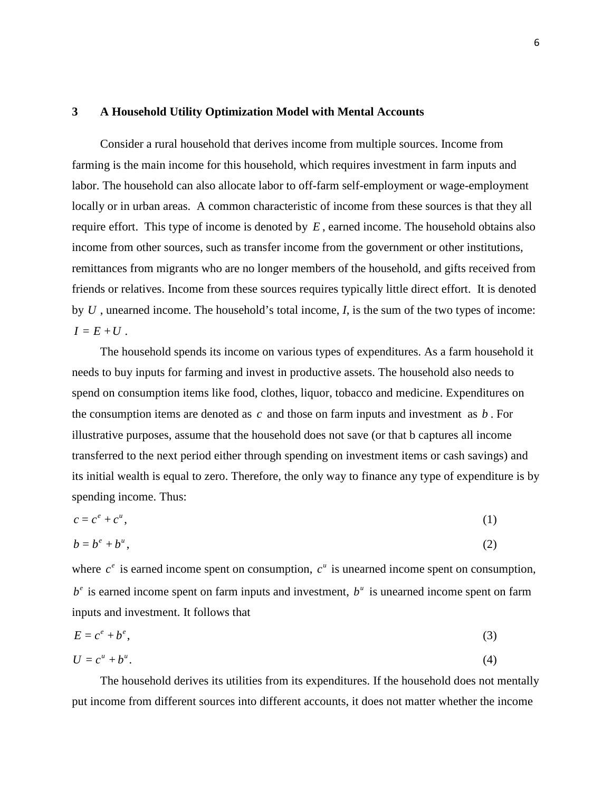#### **3 A Household Utility Optimization Model with Mental Accounts**

Consider a rural household that derives income from multiple sources. Income from farming is the main income for this household, which requires investment in farm inputs and labor. The household can also allocate labor to off-farm self-employment or wage-employment locally or in urban areas. A common characteristic of income from these sources is that they all require effort. This type of income is denoted by *E* , earned income. The household obtains also income from other sources, such as transfer income from the government or other institutions, remittances from migrants who are no longer members of the household, and gifts received from friends or relatives. Income from these sources requires typically little direct effort. It is denoted by *U* , unearned income. The household's total income, *I*, is the sum of the two types of income:  $I = E + U$ .

The household spends its income on various types of expenditures. As a farm household it needs to buy inputs for farming and invest in productive assets. The household also needs to spend on consumption items like food, clothes, liquor, tobacco and medicine. Expenditures on the consumption items are denoted as *c* and those on farm inputs and investment as *b* . For illustrative purposes, assume that the household does not save (or that b captures all income transferred to the next period either through spending on investment items or cash savings) and its initial wealth is equal to zero. Therefore, the only way to finance any type of expenditure is by spending income. Thus:

$$
c = c^e + c^u,\tag{1}
$$

$$
b = b^e + b^u, \tag{2}
$$

where  $c^e$  is earned income spent on consumption,  $c^u$  is unearned income spent on consumption,  $b^e$  is earned income spent on farm inputs and investment,  $b^u$  is unearned income spent on farm inputs and investment. It follows that

$$
E = c^e + b^e,\tag{3}
$$

$$
U = c^u + b^u. \tag{4}
$$

The household derives its utilities from its expenditures. If the household does not mentally put income from different sources into different accounts, it does not matter whether the income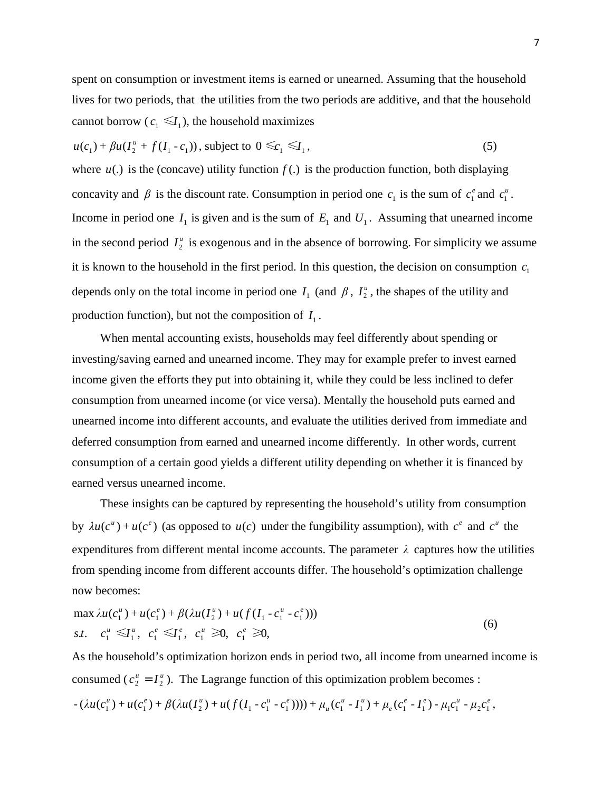spent on consumption or investment items is earned or unearned. Assuming that the household lives for two periods, that the utilities from the two periods are additive, and that the household cannot borrow ( $c_1 \le l_1$ ), the household maximizes

$$
u(c_1) + \beta u(I_2^u + f(I_1 - c_1)),
$$
 subject to  $0 \le c_1 \le I_1,$  (5)

where  $u(.)$  is the (concave) utility function  $f(.)$  is the production function, both displaying concavity and  $\beta$  is the discount rate. Consumption in period one  $c_1$  is the sum of  $c_1^e$  and  $c_1^u$ . Income in period one  $I_1$  is given and is the sum of  $E_1$  and  $U_1$ . Assuming that unearned income in the second period  $I_2^u$  is exogenous and in the absence of borrowing. For simplicity we assume it is known to the household in the first period. In this question, the decision on consumption  $c_1$ depends only on the total income in period one  $I_1$  (and  $\beta$ ,  $I_2^{\mu}$ , the shapes of the utility and production function), but not the composition of  $I_1$ .

When mental accounting exists, households may feel differently about spending or investing/saving earned and unearned income. They may for example prefer to invest earned income given the efforts they put into obtaining it, while they could be less inclined to defer consumption from unearned income (or vice versa). Mentally the household puts earned and unearned income into different accounts, and evaluate the utilities derived from immediate and deferred consumption from earned and unearned income differently. In other words, current consumption of a certain good yields a different utility depending on whether it is financed by earned versus unearned income.

These insights can be captured by representing the household's utility from consumption by  $\lambda u(c^u) + u(c^e)$  (as opposed to  $u(c)$  under the fungibility assumption), with  $c^e$  and  $c^u$  the expenditures from different mental income accounts. The parameter  $\lambda$  captures how the utilities from spending income from different accounts differ. The household's optimization challenge now becomes:

$$
\max \lambda u(c_1^u) + u(c_1^e) + \beta (\lambda u(I_2^u) + u(f(I_1 - c_1^u - c_1^e)))
$$
  
s.t.  $c_1^u \leq I_1^u$ ,  $c_1^e \leq I_1^e$ ,  $c_1^u \geq 0$ ,  $c_1^e \geq 0$ , (6)

As the household's optimization horizon ends in period two, all income from unearned income is consumed ( $c_2^u = I_2^u$ ). The Lagrange function of this optimization problem becomes :

$$
-(\lambda u(c_1^u) + u(c_1^e) + \beta(\lambda u(I_2^u) + u(f(I_1 - c_1^u - c_1^e)))) + \mu_u(c_1^u - I_1^u) + \mu_e(c_1^e - I_1^e) - \mu_1c_1^u - \mu_2c_1^e,
$$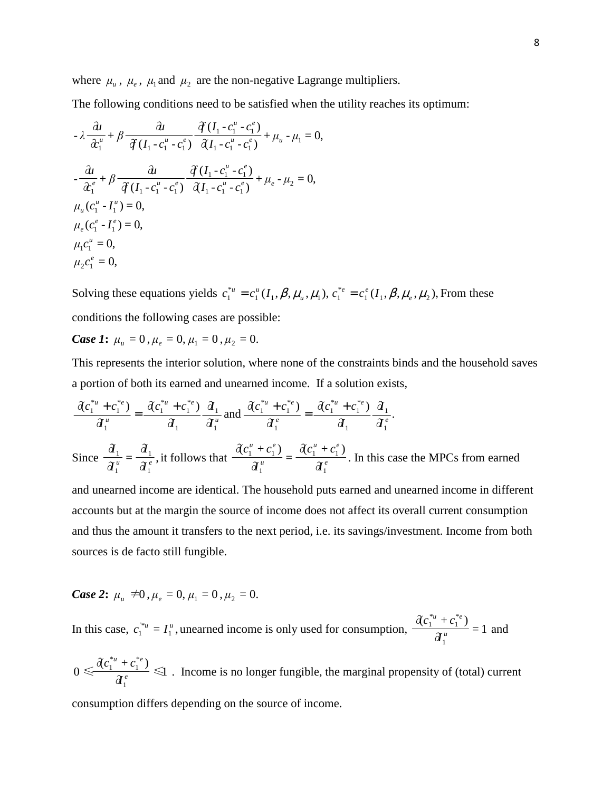where  $\mu_{u}$ ,  $\mu_{e}$ ,  $\mu_{1}$  and  $\mu_{2}$  are the non-negative Lagrange multipliers.

The following conditions need to be satisfied when the utility reaches its optimum:

$$
-\lambda \frac{\partial u}{\partial x_1^u} + \beta \frac{\partial u}{\partial (I_1 - c_1^u - c_1^e)} \frac{\partial (I_1 - c_1^u - c_1^e)}{\partial (I_1 - c_1^u - c_1^e)} + \mu_u - \mu_1 = 0,
$$
  

$$
-\frac{\partial u}{\partial x_1^e} + \beta \frac{\partial u}{\partial (I_1 - c_1^u - c_1^e)} \frac{\partial (I_1 - c_1^u - c_1^e)}{\partial (I_1 - c_1^u - c_1^e)} + \mu_e - \mu_2 = 0,
$$
  

$$
\mu_u (c_1^u - I_1^u) = 0,
$$
  

$$
\mu_e (c_1^e - I_1^e) = 0,
$$
  

$$
\mu_l c_1^u = 0,
$$
  

$$
\mu_2 c_1^e = 0,
$$

Solving these equations yields  $c_1^{*u} = c_1^u(I_1, \beta, \mu_u, \mu_1)$ ,  $c_1^{*u} = c_1^u(I_1, \beta, \mu_u, \mu_1), c_1^{*e} = c_1^e(I_1, \beta, \mu_e, \mu_2)$ , From these conditions the following cases are possible:

*Case 1*:  $\mu_u = 0$ ,  $\mu_e = 0$ ,  $\mu_1 = 0$ ,  $\mu_2 = 0$ .

This represents the interior solution, where none of the constraints binds and the household saves a portion of both its earned and unearned income. If a solution exists,

$$
\frac{\partial c_1^{*u} + c_1^{*e}}{\partial_1^u} = \frac{\partial c_1^{*u} + c_1^{*e}}{\partial_1^u} \frac{\partial_1}{\partial_1^u} \text{ and } \frac{\partial c_1^{*u} + c_1^{*e}}{\partial_1^e} = \frac{\partial c_1^{*u} + c_1^{*e}}{\partial_1^u} \frac{\partial_1}{\partial_1^e}.
$$

Since  $\frac{\partial_1}{\partial_1^u} = \frac{\partial_1}{\partial_1^e}$ , 1 1 1 1  $\hat{a}^{\mu}$  *d*<sup>*e*</sup></sup> *I I I* it follows that  $\frac{f(z_1 - z_1)}{g(u)} = \frac{f(z_1 - z_2)}{g(u)}$  $u \rightarrow e^e$ *u*  $u \rightarrow e^e$ *I*  $c_1^u + c_2^u$ *I*  $c_1^u + c_2^u$ 1  $1 + c_1$ 1  $1 + c_1$  $\partial$  $\partial c_1^u + c_1^e$  $\frac{1}{\partial t_1^u} =$  $\partial c_1^u + c_1^e$ . In this case the MPCs from earned

and unearned income are identical. The household puts earned and unearned income in different accounts but at the margin the source of income does not affect its overall current consumption and thus the amount it transfers to the next period, i.e. its savings/investment. Income from both sources is de facto still fungible.

Case 2: 
$$
\mu_u \neq 0
$$
,  $\mu_e = 0$ ,  $\mu_1 = 0$ ,  $\mu_2 = 0$ .

In this case,  $c_1^{*u} = I_1^u$ , 1  $c_1^{*u} = I_1^u$ , unearned income is only used for consumption,  $\frac{Q_1 + Q_1}{Q_1^u} = 1$  $\partial (c_1^{*u} + c_1^{*e})$ 1 \* 1 \* 1 *u*  $u \rightarrow e^*e$ *I*  $c_1^{*u} + c$ and

$$
0 \leq \frac{\hat{d}c_1^{*u} + c_1^{*e}}{\hat{d}_1^e} \leq 1
$$
. Income is no longer fungiible, the marginal propensity of (total) current consumption differs depending on the source of income.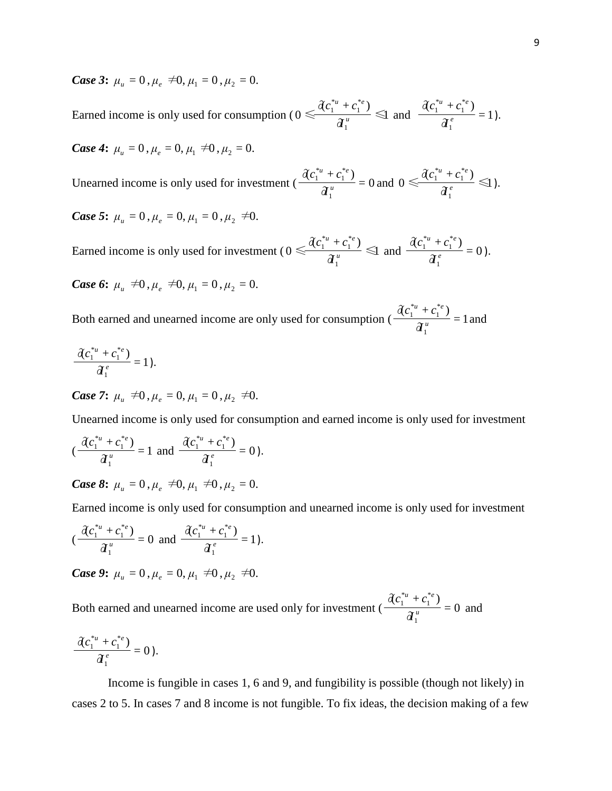*Case* 3:  $\mu_u = 0$ ,  $\mu_e \neq 0$ ,  $\mu_1 = 0$ ,  $\mu_2 = 0$ .

Earned income is only used for consumption (  $0 \le \frac{(\lambda c_1 + c_1)}{d_1^u} \le 1$  $\partial (c_1^{*_u} + c_1^{*_e})$  $0 \leq$ 1 \* 1 \* 1 *u*  $u \rightarrow e^*e$ *I*  $c_1^{*u} + c$ and  $\frac{d(e_1 + e_1)}{d_1} = 1$  $\partial (c_1^{*u} + c_1^{*e})$ 1 \* 1 \* 1 *e*  $u \rightarrow e^*e$ *I*  $c_1^{*u} + c$ ).

*Case 4*:  $\mu_{\mu} = 0$ ,  $\mu_{e} = 0$ ,  $\mu_{1} \neq 0$ ,  $\mu_{2} = 0$ .

Unearned income is only used for investment ( $\frac{(\sqrt{y_1}-y_1)}{a_1^u}=0$  $\partial (c_1^{*u} + c_1^{*e})$ 1 \* 1 \* 1 *u*  $u \rightarrow e^*e$ *I*  $\frac{c_1^{*u} + c_1^{*e}}{a_1^{u}} = 0$  and  $0 \le \frac{\partial c_1^{*u} + c_1^{*e}}{a_1^{e}} \le 1$  $\partial (c_1^{*u} + c_1^{*e})$  $0 \leq$ 1 \* 1 \* 1 *e*  $u \rightarrow e^*e$ *I*  $c_1^{*u} + c$ ).

*Case 5*:  $\mu_{\mu} = 0$ ,  $\mu_{e} = 0$ ,  $\mu_{1} = 0$ ,  $\mu_{2} \neq 0$ .

Earned income is only used for investment ( $0 \le \frac{(\sqrt{c_1} + c_1)}{d_1^u} \le 1$  $\partial (c_1^{*_u} + c_1^{*_e})$  $0 \leq$ 1 \* 1 \* 1 *u*  $u \rightarrow e^*e$ *I*  $c_1^{*u} + c$ and  $\frac{\overline{q}_1^e}{\overline{q}_1^e}=0$  $\partial (c_1^{*u} + c_1^{*e})$ 1 \* 1 \* 1 *e*  $u \rightarrow e^*e$ *I*  $c_1^{*u} + c$ ).

*Case* 6:  $\mu_{\mu} \neq 0$ ,  $\mu_{e} \neq 0$ ,  $\mu_{1} = 0$ ,  $\mu_{2} = 0$ .

Both earned and unearned income are only used for consumption ( $\frac{d(x-1)(y-1)}{d_1^n} = 1$  $\partial (c_1^{*u} + c_1^{*e})$ 1 \* 1 \* 1 *u*  $u \rightarrow e^*e$ *I*  $c_1^{*u} + c$ and

$$
\frac{\partial c_1^{*u} + c_1^{*e}}{\partial_1^e} = 1.
$$

*Case 7*:  $\mu_u \neq 0$ ,  $\mu_e = 0$ ,  $\mu_1 = 0$ ,  $\mu_2 \neq 0$ .

Unearned income is only used for consumption and earned income is only used for investment

$$
(\frac{\partial c_1^{*u}+c_1^{*e}}{\partial_1^{u}}=1 \text{ and } \frac{\partial c_1^{*u}+c_1^{*e}}{\partial_1^{e}}=0).
$$

*Case 8*:  $\mu_u = 0$ ,  $\mu_e \neq 0$ ,  $\mu_1 \neq 0$ ,  $\mu_2 = 0$ .

Earned income is only used for consumption and unearned income is only used for investment

$$
(\frac{\partial c_1^{*u}+c_1^{*e}}{\partial_1^{u}}=0 \text{ and } \frac{\partial c_1^{*u}+c_1^{*e}}{\partial_1^{e}}=1).
$$

*Case 9*:  $\mu_{\mu} = 0$ ,  $\mu_{e} = 0$ ,  $\mu_{1} \neq 0$ ,  $\mu_{2} \neq 0$ .

Both earned and unearned income are used only for investment ( $\frac{(\lambda+1)(\lambda+1)}{d_1^u} = 0$  $\partial (c_1^{*_u} + c_1^{*_e})$ 1 \* 1 \* 1 *u*  $u \rightarrow e^*e$ *I*  $c_1^{*u} + c$ and

$$
\frac{\partial c_1^{*u}+c_1^{*e}}{\partial_1^e}=0.
$$

Income is fungible in cases 1, 6 and 9, and fungibility is possible (though not likely) in cases 2 to 5. In cases 7 and 8 income is not fungible. To fix ideas, the decision making of a few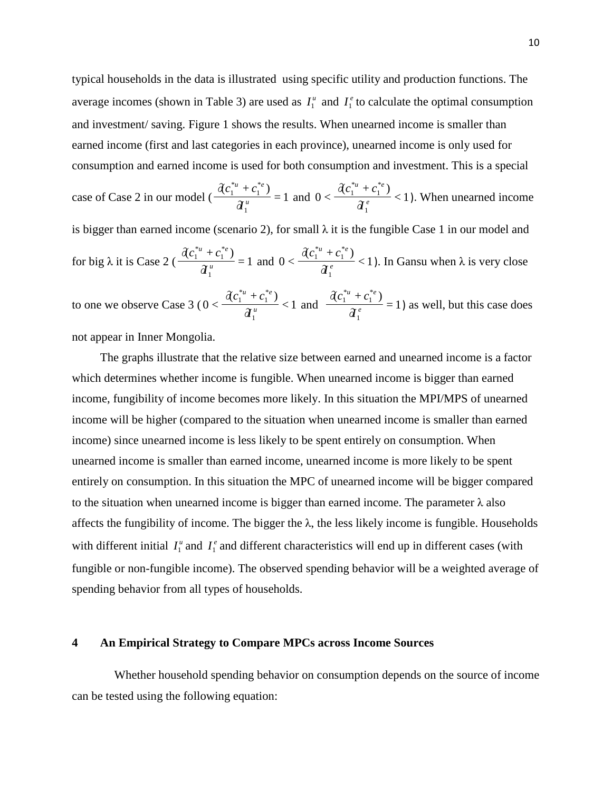typical households in the data is illustrated using specific utility and production functions. The average incomes (shown in Table 3) are used as  $I_1^{\mu}$  and  $I_1^{\rho}$  to calculate the optimal consumption and investment/ saving. Figure 1 shows the results. When unearned income is smaller than earned income (first and last categories in each province), unearned income is only used for consumption and earned income is used for both consumption and investment. This is a special

case of Case 2 in our model 
$$
(\frac{\partial c_1^{*u} + c_1^{*e}}{\partial_1^u}) = 1
$$
 and  $0 < \frac{\partial c_1^{*u} + c_1^{*e}}{\partial_1^e} < 1$ ). When unearned income  
is bigger than earned income (scenario 2), for small  $\lambda$  it is the fungible Case 1 in our model and  
for big  $\lambda$  it is Case 2  $(\frac{\partial c_1^{*u} + c_1^{*e}}{\partial_1^u}) = 1$  and  $0 < \frac{\partial c_1^{*u} + c_1^{*e}}{\partial_1^e} < 1$ ). In Gansu when  $\lambda$  is very close  
to one we observe Case 3  $(0 < \frac{\partial c_1^{*u} + c_1^{*e}}{\partial_1^u}) < 1$  and  $\frac{\partial c_1^{*u} + c_1^{*e}}{\partial_1^e} = 1$  as well, but this case does

1

1

not appear in Inner Mongolia.

The graphs illustrate that the relative size between earned and unearned income is a factor which determines whether income is fungible. When unearned income is bigger than earned income, fungibility of income becomes more likely. In this situation the MPI/MPS of unearned income will be higher (compared to the situation when unearned income is smaller than earned income) since unearned income is less likely to be spent entirely on consumption. When unearned income is smaller than earned income, unearned income is more likely to be spent entirely on consumption. In this situation the MPC of unearned income will be bigger compared to the situation when unearned income is bigger than earned income. The parameter  $\lambda$  also affects the fungibility of income. The bigger the  $\lambda$ , the less likely income is fungible. Households with different initial  $I_1^{\mu}$  and  $I_2^{\rho}$  and different characteristics will end up in different cases (with fungible or non-fungible income). The observed spending behavior will be a weighted average of spending behavior from all types of households.

## **4 An Empirical Strategy to Compare MPCs across Income Sources**

 Whether household spending behavior on consumption depends on the source of income can be tested using the following equation: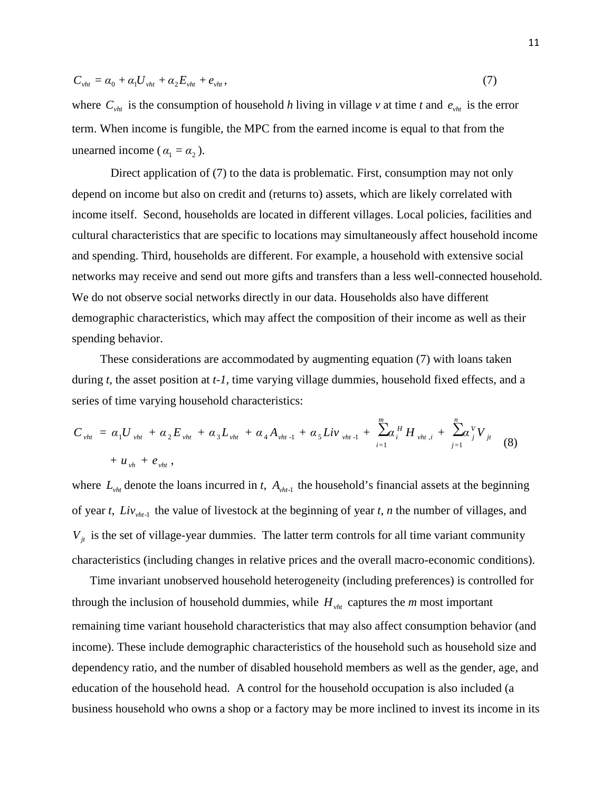$$
C_{\nu ht} = \alpha_0 + \alpha_1 U_{\nu ht} + \alpha_2 E_{\nu ht} + e_{\nu ht},\tag{7}
$$

where  $C_{vht}$  is the consumption of household *h* living in village *v* at time *t* and  $e_{vht}$  is the error term. When income is fungible, the MPC from the earned income is equal to that from the unearned income ( $\alpha_1 = \alpha_2$ ).

 Direct application of (7) to the data is problematic. First, consumption may not only depend on income but also on credit and (returns to) assets, which are likely correlated with income itself. Second, households are located in different villages. Local policies, facilities and cultural characteristics that are specific to locations may simultaneously affect household income and spending. Third, households are different. For example, a household with extensive social networks may receive and send out more gifts and transfers than a less well-connected household. We do not observe social networks directly in our data. Households also have different demographic characteristics, which may affect the composition of their income as well as their spending behavior.

These considerations are accommodated by augmenting equation (7) with loans taken during *t*, the asset position at *t-1*, time varying village dummies, household fixed effects, and a series of time varying household characteristics:

$$
C_{vht} = \alpha_1 U_{vht} + \alpha_2 E_{vht} + \alpha_3 L_{vht} + \alpha_4 A_{vht-1} + \alpha_5 L i v_{vht-1} + \sum_{i=1}^{m} \alpha_i^H H_{vht,i} + \sum_{j=1}^{n} \alpha_j^V V_{jt}
$$
  
+  $u_{vh} + e_{vht}$ , (8)

where  $L_{vht}$  denote the loans incurred in *t*,  $A_{vht-1}$  the household's financial assets at the beginning of year *t*,  $\text{Liv}_{\text{vht-1}}$  the value of livestock at the beginning of year *t*, *n* the number of villages, and  $V_{jt}$  is the set of village-year dummies. The latter term controls for all time variant community characteristics (including changes in relative prices and the overall macro-economic conditions).

 Time invariant unobserved household heterogeneity (including preferences) is controlled for through the inclusion of household dummies, while  $H_{vht}$  captures the  $m$  most important remaining time variant household characteristics that may also affect consumption behavior (and income). These include demographic characteristics of the household such as household size and dependency ratio, and the number of disabled household members as well as the gender, age, and education of the household head. A control for the household occupation is also included (a business household who owns a shop or a factory may be more inclined to invest its income in its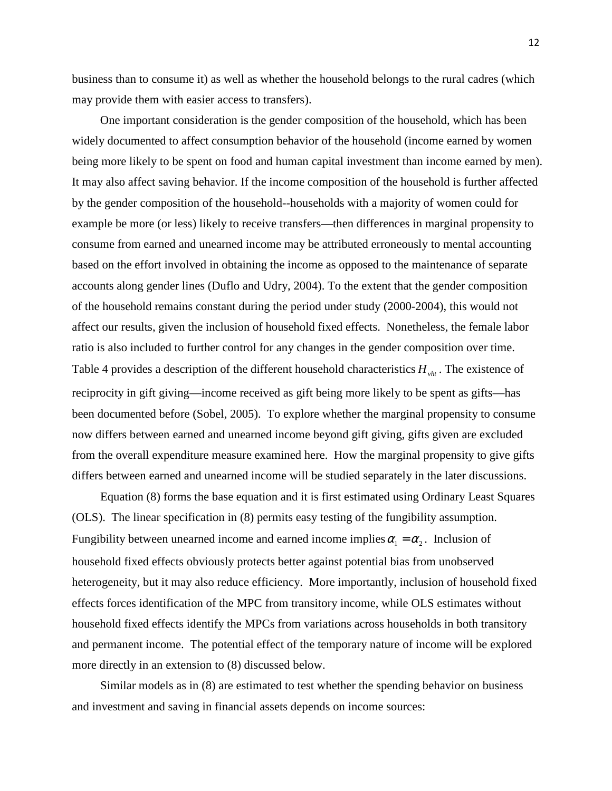business than to consume it) as well as whether the household belongs to the rural cadres (which may provide them with easier access to transfers).

One important consideration is the gender composition of the household, which has been widely documented to affect consumption behavior of the household (income earned by women being more likely to be spent on food and human capital investment than income earned by men). It may also affect saving behavior. If the income composition of the household is further affected by the gender composition of the household--households with a majority of women could for example be more (or less) likely to receive transfers—then differences in marginal propensity to consume from earned and unearned income may be attributed erroneously to mental accounting based on the effort involved in obtaining the income as opposed to the maintenance of separate accounts along gender lines (Duflo and Udry, 2004). To the extent that the gender composition of the household remains constant during the period under study (2000-2004), this would not affect our results, given the inclusion of household fixed effects. Nonetheless, the female labor ratio is also included to further control for any changes in the gender composition over time. Table 4 provides a description of the different household characteristics  $H_{vht}$ . The existence of reciprocity in gift giving—income received as gift being more likely to be spent as gifts—has been documented before (Sobel, 2005). To explore whether the marginal propensity to consume now differs between earned and unearned income beyond gift giving, gifts given are excluded from the overall expenditure measure examined here. How the marginal propensity to give gifts differs between earned and unearned income will be studied separately in the later discussions.

Equation (8) forms the base equation and it is first estimated using Ordinary Least Squares (OLS). The linear specification in (8) permits easy testing of the fungibility assumption. Fungibility between unearned income and earned income implies  $\alpha_1 = \alpha_2$ . Inclusion of household fixed effects obviously protects better against potential bias from unobserved heterogeneity, but it may also reduce efficiency. More importantly, inclusion of household fixed effects forces identification of the MPC from transitory income, while OLS estimates without household fixed effects identify the MPCs from variations across households in both transitory and permanent income. The potential effect of the temporary nature of income will be explored more directly in an extension to (8) discussed below.

 Similar models as in (8) are estimated to test whether the spending behavior on business and investment and saving in financial assets depends on income sources: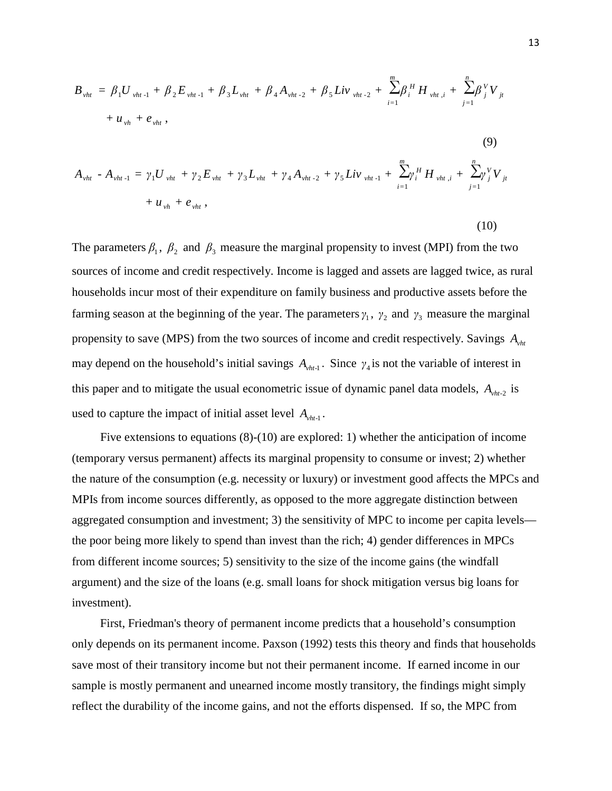$$
B_{vht} = \beta_1 U_{vht-1} + \beta_2 E_{vht-1} + \beta_3 L_{vht} + \beta_4 A_{vht-2} + \beta_5 Liv_{vht-2} + \sum_{i=1}^{m} \beta_i^H H_{vht,i} + \sum_{j=1}^{n} \beta_j^V V_{jt}
$$
  
+  $u_{vh} + e_{vht}$ , (9)

$$
A_{vht} - A_{vht-1} = \gamma_1 U_{vht} + \gamma_2 E_{vht} + \gamma_3 L_{vht} + \gamma_4 A_{vht-2} + \gamma_5 Liv_{vht-1} + \sum_{i=1}^{m} \gamma_i^H H_{vht,i} + \sum_{j=1}^{n} \gamma_j^V V_{jt} + u_{vh} + e_{vht},
$$

The parameters  $\beta_1$ ,  $\beta_2$  and  $\beta_3$  measure the marginal propensity to invest (MPI) from the two sources of income and credit respectively. Income is lagged and assets are lagged twice, as rural households incur most of their expenditure on family business and productive assets before the farming season at the beginning of the year. The parameters  $\gamma_1$ ,  $\gamma_2$  and  $\gamma_3$  measure the marginal propensity to save (MPS) from the two sources of income and credit respectively. Savings *Avht* may depend on the household's initial savings  $A_{vht-1}$ . Since  $\gamma_4$  is not the variable of interest in this paper and to mitigate the usual econometric issue of dynamic panel data models,  $A_{vht-2}$  is used to capture the impact of initial asset level  $A_{\nu h t-1}$ .

Five extensions to equations (8)-(10) are explored: 1) whether the anticipation of income (temporary versus permanent) affects its marginal propensity to consume or invest; 2) whether the nature of the consumption (e.g. necessity or luxury) or investment good affects the MPCs and MPIs from income sources differently, as opposed to the more aggregate distinction between aggregated consumption and investment; 3) the sensitivity of MPC to income per capita levels the poor being more likely to spend than invest than the rich; 4) gender differences in MPCs from different income sources; 5) sensitivity to the size of the income gains (the windfall argument) and the size of the loans (e.g. small loans for shock mitigation versus big loans for investment).

First, Friedman's theory of permanent income predicts that a household's consumption only depends on its permanent income. Paxson (1992) tests this theory and finds that households save most of their transitory income but not their permanent income. If earned income in our sample is mostly permanent and unearned income mostly transitory, the findings might simply reflect the durability of the income gains, and not the efforts dispensed. If so, the MPC from

(10)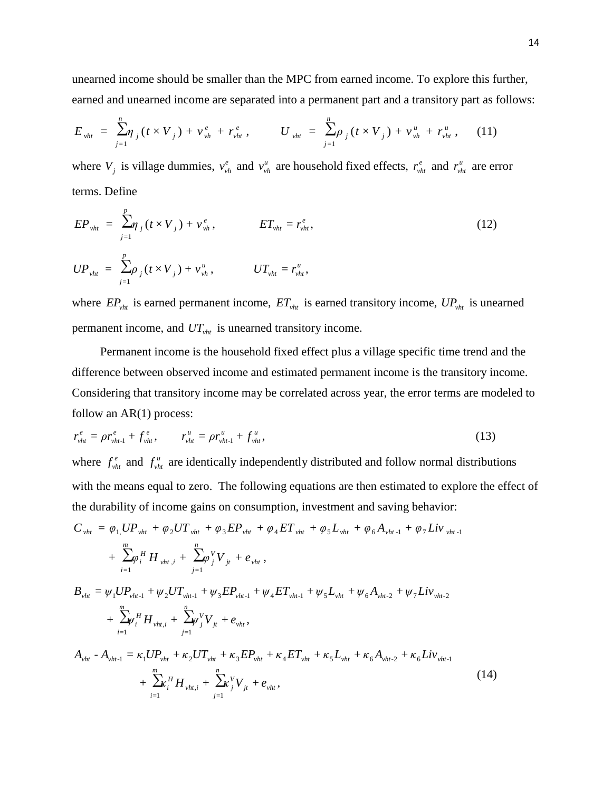unearned income should be smaller than the MPC from earned income. To explore this further, earned and unearned income are separated into a permanent part and a transitory part as follows:

$$
E_{vht} = \sum_{j=1}^{n} \eta_j (t \times V_j) + v_{vh}^e + r_{vht}^e, \qquad U_{vht} = \sum_{j=1}^{n} \rho_j (t \times V_j) + v_{vh}^u + r_{vht}^u, \qquad (11)
$$

where  $V_j$  is village dummies,  $v_{vh}^e$  and  $v_{vh}^u$  are household fixed effects,  $r_{vh}^e$  and  $r_{vh}^u$  are error terms. Define

$$
EP_{vht} = \sum_{j=1}^{p} \eta_j (t \times V_j) + v_{vh}^e, \qquad ET_{vht} = r_{vht}^e,
$$
  
\n
$$
UP_{vht} = \sum_{j=1}^{p} \rho_j (t \times V_j) + v_{vh}^u, \qquad UT_{vht} = r_{vht}^u,
$$
\n(12)

where  $EP_{vht}$  is earned permanent income,  $ET_{vht}$  is earned transitory income,  $UP_{vht}$  is unearned permanent income, and *UTvht* is unearned transitory income.

Permanent income is the household fixed effect plus a village specific time trend and the difference between observed income and estimated permanent income is the transitory income. Considering that transitory income may be correlated across year, the error terms are modeled to follow an AR(1) process:

$$
r_{vht}^e = \rho r_{vht-1}^e + f_{vht}^e, \qquad r_{vht}^u = \rho r_{vht-1}^u + f_{vht}^u,
$$
\n(13)

where  $f_{vht}^e$  and  $f_{vht}^u$  are identically independently distributed and follow normal distributions with the means equal to zero. The following equations are then estimated to explore the effect of the durability of income gains on consumption, investment and saving behavior:

$$
C_{vht} = \varphi_{1,}UP_{vht} + \varphi_{2}UT_{vht} + \varphi_{3}EP_{vht} + \varphi_{4}ET_{vht} + \varphi_{5}L_{vht} + \varphi_{6}A_{vht-1} + \varphi_{7}Liv_{vht-1} + \sum_{i=1}^{m} \varphi_{i}^{H}H_{vht,i} + \sum_{j=1}^{n} \varphi_{j}^{V}V_{jt} + e_{vht},
$$
  

$$
B_{vht} = \psi_{1}UP_{vht-1} + \psi_{2}UT_{vht-1} + \psi_{3}EP_{vht-1} + \psi_{4}ET_{vht-1} + \psi_{5}L_{vht} + \psi_{6}A_{vht-2} + \psi_{7}Liv_{vht-2} + \sum_{i=1}^{m} \psi_{i}^{H}H_{vht,i} + \sum_{j=1}^{n} \psi_{j}^{V}V_{jt} + e_{vht},
$$
  

$$
A_{vht} - A_{vht-1} = \kappa_{1}UP_{vht} + \kappa_{2}UT_{vht} + \kappa_{3}EP_{vht} + \kappa_{4}ET_{vht} + \kappa_{5}L_{vht} + \kappa_{6}A_{vht-2} + \kappa_{6}Liv_{vht-1} + \sum_{i=1}^{m} \kappa_{i}^{H}H_{vht,i} + \sum_{j=1}^{n} \kappa_{j}^{V}V_{jt} + e_{vht},
$$
 (14)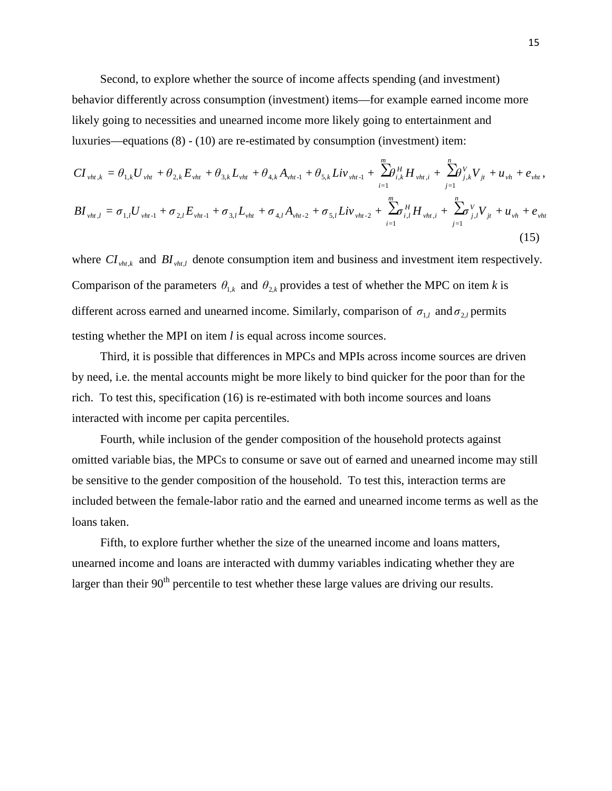Second, to explore whether the source of income affects spending (and investment) behavior differently across consumption (investment) items—for example earned income more likely going to necessities and unearned income more likely going to entertainment and luxuries—equations (8) - (10) are re-estimated by consumption (investment) item:

$$
CI_{vht,k} = \theta_{1,k}U_{vht} + \theta_{2,k}E_{vht} + \theta_{3,k}L_{vht} + \theta_{4,k}A_{vht-1} + \theta_{5,k}Liv_{vht-1} + \sum_{i=1}^{m} \theta_{i,k}^{H}H_{vht,i} + \sum_{j=1}^{n} \theta_{j,k}^{V}V_{jt} + u_{vh} + e_{vht},
$$
  
\n
$$
BI_{vht,l} = \sigma_{1,l}U_{vht-1} + \sigma_{2,l}E_{vht-1} + \sigma_{3,l}L_{vht} + \sigma_{4,l}A_{vht-2} + \sigma_{5,l}Liv_{vht-2} + \sum_{i=1}^{m} \theta_{i,l}^{H}H_{vht,i} + \sum_{j=1}^{n} \sigma_{j,l}^{V}V_{jt} + u_{vh} + e_{vht}
$$
\n(15)

where  $CI_{vht,k}$  and  $BI_{vht,l}$  denote consumption item and business and investment item respectively. Comparison of the parameters  $\theta_{1,k}$  and  $\theta_{2,k}$  provides a test of whether the MPC on item *k* is different across earned and unearned income. Similarly, comparison of  $\sigma_{1,l}$  and  $\sigma_{2,l}$  permits testing whether the MPI on item *l* is equal across income sources.

Third, it is possible that differences in MPCs and MPIs across income sources are driven by need, i.e. the mental accounts might be more likely to bind quicker for the poor than for the rich. To test this, specification (16) is re-estimated with both income sources and loans interacted with income per capita percentiles.

Fourth, while inclusion of the gender composition of the household protects against omitted variable bias, the MPCs to consume or save out of earned and unearned income may still be sensitive to the gender composition of the household. To test this, interaction terms are included between the female-labor ratio and the earned and unearned income terms as well as the loans taken.

Fifth, to explore further whether the size of the unearned income and loans matters, unearned income and loans are interacted with dummy variables indicating whether they are larger than their  $90<sup>th</sup>$  percentile to test whether these large values are driving our results.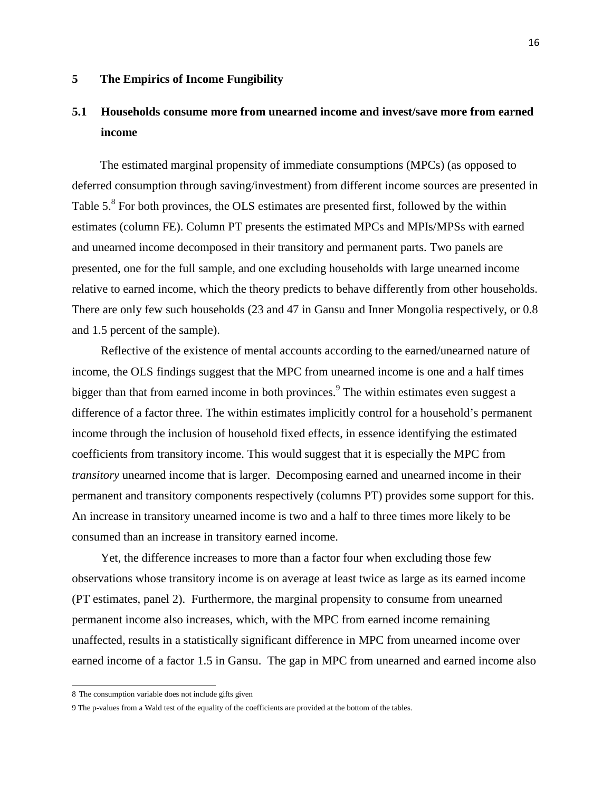## **5 The Empirics of Income Fungibility**

# **5.1 Households consume more from unearned income and invest/save more from earned income**

The estimated marginal propensity of immediate consumptions (MPCs) (as opposed to deferred consumption through saving/investment) from different income sources are presented in Table 5.<sup>8</sup> For both provinces, the OLS estimates are presented first, followed by the within estimates (column FE). Column PT presents the estimated MPCs and MPIs/MPSs with earned and unearned income decomposed in their transitory and permanent parts. Two panels are presented, one for the full sample, and one excluding households with large unearned income relative to earned income, which the theory predicts to behave differently from other households. There are only few such households (23 and 47 in Gansu and Inner Mongolia respectively, or 0.8 and 1.5 percent of the sample).

Reflective of the existence of mental accounts according to the earned/unearned nature of income, the OLS findings suggest that the MPC from unearned income is one and a half times bigger than that from earned income in both provinces.<sup>9</sup> The within estimates even suggest a difference of a factor three. The within estimates implicitly control for a household's permanent income through the inclusion of household fixed effects, in essence identifying the estimated coefficients from transitory income. This would suggest that it is especially the MPC from *transitory* unearned income that is larger. Decomposing earned and unearned income in their permanent and transitory components respectively (columns PT) provides some support for this. An increase in transitory unearned income is two and a half to three times more likely to be consumed than an increase in transitory earned income.

Yet, the difference increases to more than a factor four when excluding those few observations whose transitory income is on average at least twice as large as its earned income (PT estimates, panel 2). Furthermore, the marginal propensity to consume from unearned permanent income also increases, which, with the MPC from earned income remaining unaffected, results in a statistically significant difference in MPC from unearned income over earned income of a factor 1.5 in Gansu. The gap in MPC from unearned and earned income also

 8 The consumption variable does not include gifts given

<sup>9</sup> The p-values from a Wald test of the equality of the coefficients are provided at the bottom of the tables.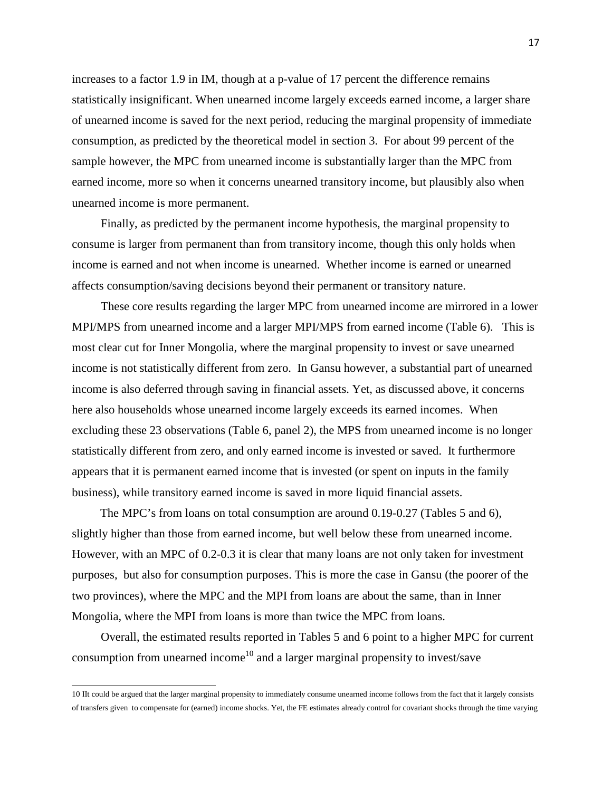increases to a factor 1.9 in IM, though at a p-value of 17 percent the difference remains statistically insignificant. When unearned income largely exceeds earned income, a larger share of unearned income is saved for the next period, reducing the marginal propensity of immediate consumption, as predicted by the theoretical model in section 3. For about 99 percent of the sample however, the MPC from unearned income is substantially larger than the MPC from earned income, more so when it concerns unearned transitory income, but plausibly also when unearned income is more permanent.

Finally, as predicted by the permanent income hypothesis, the marginal propensity to consume is larger from permanent than from transitory income, though this only holds when income is earned and not when income is unearned. Whether income is earned or unearned affects consumption/saving decisions beyond their permanent or transitory nature.

These core results regarding the larger MPC from unearned income are mirrored in a lower MPI/MPS from unearned income and a larger MPI/MPS from earned income (Table 6). This is most clear cut for Inner Mongolia, where the marginal propensity to invest or save unearned income is not statistically different from zero. In Gansu however, a substantial part of unearned income is also deferred through saving in financial assets. Yet, as discussed above, it concerns here also households whose unearned income largely exceeds its earned incomes. When excluding these 23 observations (Table 6, panel 2), the MPS from unearned income is no longer statistically different from zero, and only earned income is invested or saved. It furthermore appears that it is permanent earned income that is invested (or spent on inputs in the family business), while transitory earned income is saved in more liquid financial assets.

The MPC's from loans on total consumption are around 0.19-0.27 (Tables 5 and 6), slightly higher than those from earned income, but well below these from unearned income. However, with an MPC of 0.2-0.3 it is clear that many loans are not only taken for investment purposes, but also for consumption purposes. This is more the case in Gansu (the poorer of the two provinces), where the MPC and the MPI from loans are about the same, than in Inner Mongolia, where the MPI from loans is more than twice the MPC from loans.

Overall, the estimated results reported in Tables 5 and 6 point to a higher MPC for current consumption from unearned income<sup>10</sup> and a larger marginal propensity to invest/save

 10 IIt could be argued that the larger marginal propensity to immediately consume unearned income follows from the fact that it largely consists of transfers given to compensate for (earned) income shocks. Yet, the FE estimates already control for covariant shocks through the time varying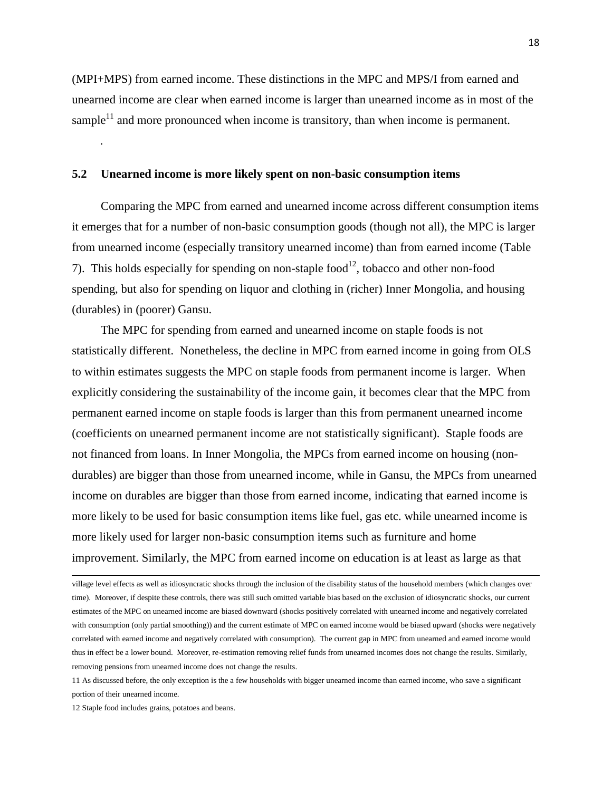(MPI+MPS) from earned income. These distinctions in the MPC and MPS/I from earned and unearned income are clear when earned income is larger than unearned income as in most of the sample $<sup>11</sup>$  and more pronounced when income is transitory, than when income is permanent.</sup> .

#### **5.2 Unearned income is more likely spent on non-basic consumption items**

Comparing the MPC from earned and unearned income across different consumption items it emerges that for a number of non-basic consumption goods (though not all), the MPC is larger from unearned income (especially transitory unearned income) than from earned income (Table 7). This holds especially for spending on non-staple food $12$ , tobacco and other non-food spending, but also for spending on liquor and clothing in (richer) Inner Mongolia, and housing (durables) in (poorer) Gansu.

The MPC for spending from earned and unearned income on staple foods is not statistically different. Nonetheless, the decline in MPC from earned income in going from OLS to within estimates suggests the MPC on staple foods from permanent income is larger. When explicitly considering the sustainability of the income gain, it becomes clear that the MPC from permanent earned income on staple foods is larger than this from permanent unearned income (coefficients on unearned permanent income are not statistically significant). Staple foods are not financed from loans. In Inner Mongolia, the MPCs from earned income on housing (nondurables) are bigger than those from unearned income, while in Gansu, the MPCs from unearned income on durables are bigger than those from earned income, indicating that earned income is more likely to be used for basic consumption items like fuel, gas etc. while unearned income is more likely used for larger non-basic consumption items such as furniture and home improvement. Similarly, the MPC from earned income on education is at least as large as that

 village level effects as well as idiosyncratic shocks through the inclusion of the disability status of the household members (which changes over time). Moreover, if despite these controls, there was still such omitted variable bias based on the exclusion of idiosyncratic shocks, our current estimates of the MPC on unearned income are biased downward (shocks positively correlated with unearned income and negatively correlated with consumption (only partial smoothing)) and the current estimate of MPC on earned income would be biased upward (shocks were negatively correlated with earned income and negatively correlated with consumption). The current gap in MPC from unearned and earned income would thus in effect be a lower bound. Moreover, re-estimation removing relief funds from unearned incomes does not change the results. Similarly, removing pensions from unearned income does not change the results.

<sup>11</sup> As discussed before, the only exception is the a few households with bigger unearned income than earned income, who save a significant portion of their unearned income.

<sup>12</sup> Staple food includes grains, potatoes and beans.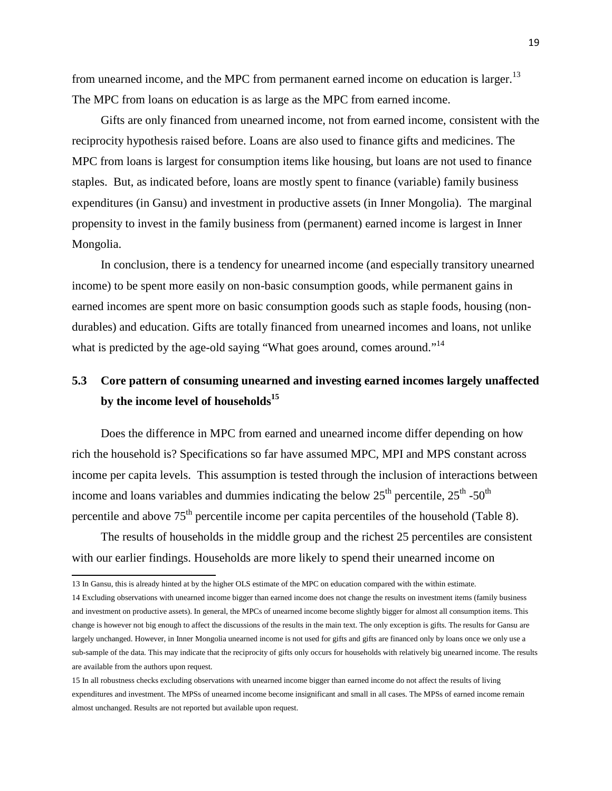from unearned income, and the MPC from permanent earned income on education is larger.<sup>13</sup> The MPC from loans on education is as large as the MPC from earned income.

Gifts are only financed from unearned income, not from earned income, consistent with the reciprocity hypothesis raised before. Loans are also used to finance gifts and medicines. The MPC from loans is largest for consumption items like housing, but loans are not used to finance staples. But, as indicated before, loans are mostly spent to finance (variable) family business expenditures (in Gansu) and investment in productive assets (in Inner Mongolia). The marginal propensity to invest in the family business from (permanent) earned income is largest in Inner Mongolia.

In conclusion, there is a tendency for unearned income (and especially transitory unearned income) to be spent more easily on non-basic consumption goods, while permanent gains in earned incomes are spent more on basic consumption goods such as staple foods, housing (nondurables) and education. Gifts are totally financed from unearned incomes and loans, not unlike what is predicted by the age-old saying "What goes around, comes around."<sup>14</sup>

# **5.3 Core pattern of consuming unearned and investing earned incomes largely unaffected by the income level of households<sup>15</sup>**

Does the difference in MPC from earned and unearned income differ depending on how rich the household is? Specifications so far have assumed MPC, MPI and MPS constant across income per capita levels. This assumption is tested through the inclusion of interactions between income and loans variables and dummies indicating the below  $25<sup>th</sup>$  percentile,  $25<sup>th</sup>$  -50<sup>th</sup> percentile and above  $75<sup>th</sup>$  percentile income per capita percentiles of the household (Table 8).

The results of households in the middle group and the richest 25 percentiles are consistent with our earlier findings. Households are more likely to spend their unearned income on

 13 In Gansu, this is already hinted at by the higher OLS estimate of the MPC on education compared with the within estimate.

<sup>14</sup> Excluding observations with unearned income bigger than earned income does not change the results on investment items (family business and investment on productive assets). In general, the MPCs of unearned income become slightly bigger for almost all consumption items. This change is however not big enough to affect the discussions of the results in the main text. The only exception is gifts. The results for Gansu are largely unchanged. However, in Inner Mongolia unearned income is not used for gifts and gifts are financed only by loans once we only use a sub-sample of the data. This may indicate that the reciprocity of gifts only occurs for households with relatively big unearned income. The results are available from the authors upon request.

<sup>15</sup> In all robustness checks excluding observations with unearned income bigger than earned income do not affect the results of living expenditures and investment. The MPSs of unearned income become insignificant and small in all cases. The MPSs of earned income remain almost unchanged. Results are not reported but available upon request.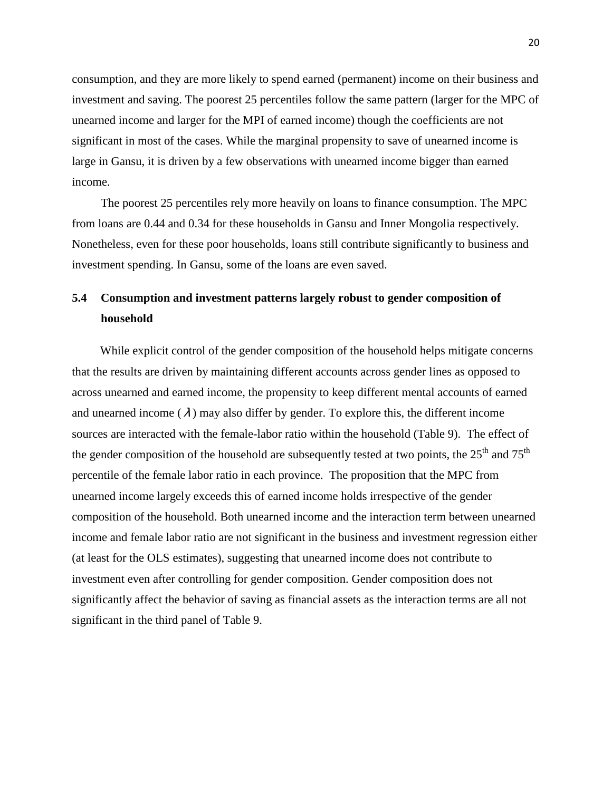consumption, and they are more likely to spend earned (permanent) income on their business and investment and saving. The poorest 25 percentiles follow the same pattern (larger for the MPC of unearned income and larger for the MPI of earned income) though the coefficients are not significant in most of the cases. While the marginal propensity to save of unearned income is large in Gansu, it is driven by a few observations with unearned income bigger than earned income.

The poorest 25 percentiles rely more heavily on loans to finance consumption. The MPC from loans are 0.44 and 0.34 for these households in Gansu and Inner Mongolia respectively. Nonetheless, even for these poor households, loans still contribute significantly to business and investment spending. In Gansu, some of the loans are even saved.

# **5.4 Consumption and investment patterns largely robust to gender composition of household**

While explicit control of the gender composition of the household helps mitigate concerns that the results are driven by maintaining different accounts across gender lines as opposed to across unearned and earned income, the propensity to keep different mental accounts of earned and unearned income ( $\lambda$ ) may also differ by gender. To explore this, the different income sources are interacted with the female-labor ratio within the household (Table 9). The effect of the gender composition of the household are subsequently tested at two points, the  $25<sup>th</sup>$  and  $75<sup>th</sup>$ percentile of the female labor ratio in each province. The proposition that the MPC from unearned income largely exceeds this of earned income holds irrespective of the gender composition of the household. Both unearned income and the interaction term between unearned income and female labor ratio are not significant in the business and investment regression either (at least for the OLS estimates), suggesting that unearned income does not contribute to investment even after controlling for gender composition. Gender composition does not significantly affect the behavior of saving as financial assets as the interaction terms are all not significant in the third panel of Table 9.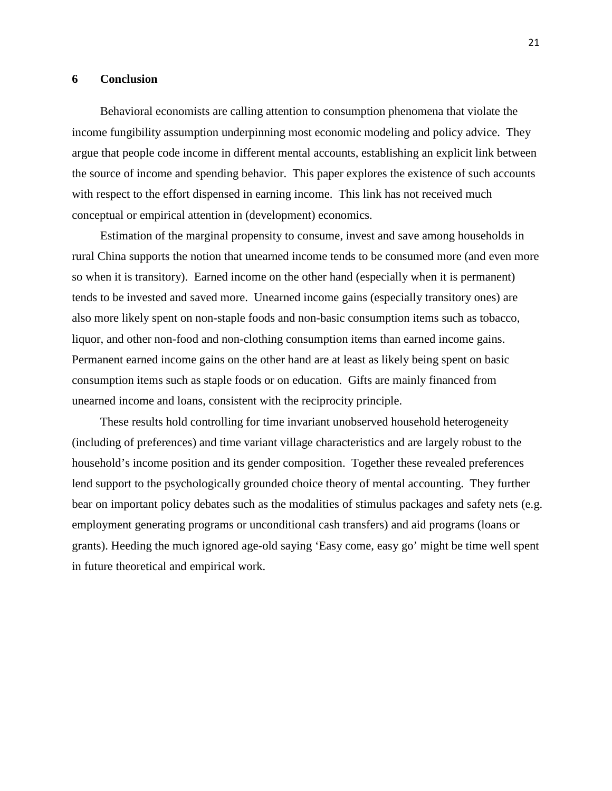#### **6 Conclusion**

Behavioral economists are calling attention to consumption phenomena that violate the income fungibility assumption underpinning most economic modeling and policy advice. They argue that people code income in different mental accounts, establishing an explicit link between the source of income and spending behavior. This paper explores the existence of such accounts with respect to the effort dispensed in earning income. This link has not received much conceptual or empirical attention in (development) economics.

Estimation of the marginal propensity to consume, invest and save among households in rural China supports the notion that unearned income tends to be consumed more (and even more so when it is transitory). Earned income on the other hand (especially when it is permanent) tends to be invested and saved more. Unearned income gains (especially transitory ones) are also more likely spent on non-staple foods and non-basic consumption items such as tobacco, liquor, and other non-food and non-clothing consumption items than earned income gains. Permanent earned income gains on the other hand are at least as likely being spent on basic consumption items such as staple foods or on education. Gifts are mainly financed from unearned income and loans, consistent with the reciprocity principle.

These results hold controlling for time invariant unobserved household heterogeneity (including of preferences) and time variant village characteristics and are largely robust to the household's income position and its gender composition. Together these revealed preferences lend support to the psychologically grounded choice theory of mental accounting. They further bear on important policy debates such as the modalities of stimulus packages and safety nets (e.g. employment generating programs or unconditional cash transfers) and aid programs (loans or grants). Heeding the much ignored age-old saying 'Easy come, easy go' might be time well spent in future theoretical and empirical work.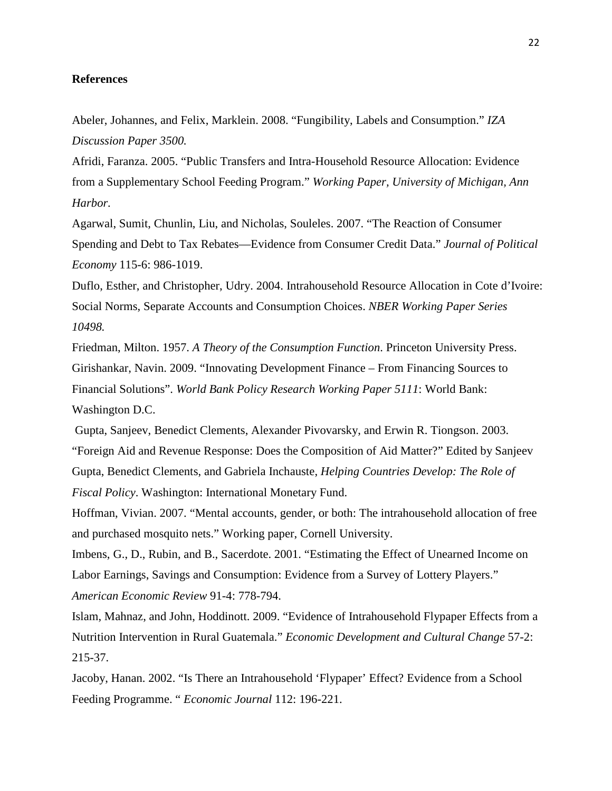## **References**

Abeler, Johannes, and Felix, Marklein. 2008. "Fungibility, Labels and Consumption." *IZA Discussion Paper 3500.*

Afridi, Faranza. 2005. "Public Transfers and Intra-Household Resource Allocation: Evidence from a Supplementary School Feeding Program." *Working Paper, University of Michigan, Ann Harbor.*

Agarwal, Sumit, Chunlin, Liu, and Nicholas, Souleles. 2007. "The Reaction of Consumer Spending and Debt to Tax Rebates—Evidence from Consumer Credit Data." *Journal of Political Economy* 115-6: 986-1019.

Duflo, Esther, and Christopher, Udry. 2004. Intrahousehold Resource Allocation in Cote d'Ivoire: Social Norms, Separate Accounts and Consumption Choices. *NBER Working Paper Series 10498.*

Friedman, Milton. 1957. *A Theory of the Consumption Function*. Princeton University Press. Girishankar, Navin. 2009. "Innovating Development Finance – From Financing Sources to Financial Solutions". *World Bank Policy Research Working Paper 5111*: World Bank: Washington D.C.

Gupta, Sanjeev, Benedict Clements, Alexander Pivovarsky, and Erwin R. Tiongson. 2003. "Foreign Aid and Revenue Response: Does the Composition of Aid Matter?" Edited by Sanjeev Gupta, Benedict Clements, and Gabriela Inchauste, *Helping Countries Develop: The Role of Fiscal Policy*. Washington: International Monetary Fund.

Hoffman, Vivian. 2007. "Mental accounts, gender, or both: The intrahousehold allocation of free and purchased mosquito nets." Working paper, Cornell University.

Imbens, G., D., Rubin, and B., Sacerdote. 2001. "Estimating the Effect of Unearned Income on Labor Earnings, Savings and Consumption: Evidence from a Survey of Lottery Players." *American Economic Review* 91-4: 778-794.

Islam, Mahnaz, and John, Hoddinott. 2009. "Evidence of Intrahousehold Flypaper Effects from a Nutrition Intervention in Rural Guatemala." *Economic Development and Cultural Change* 57-2: 215-37.

Jacoby, Hanan. 2002. "Is There an Intrahousehold 'Flypaper' Effect? Evidence from a School Feeding Programme. " *Economic Journal* 112: 196-221.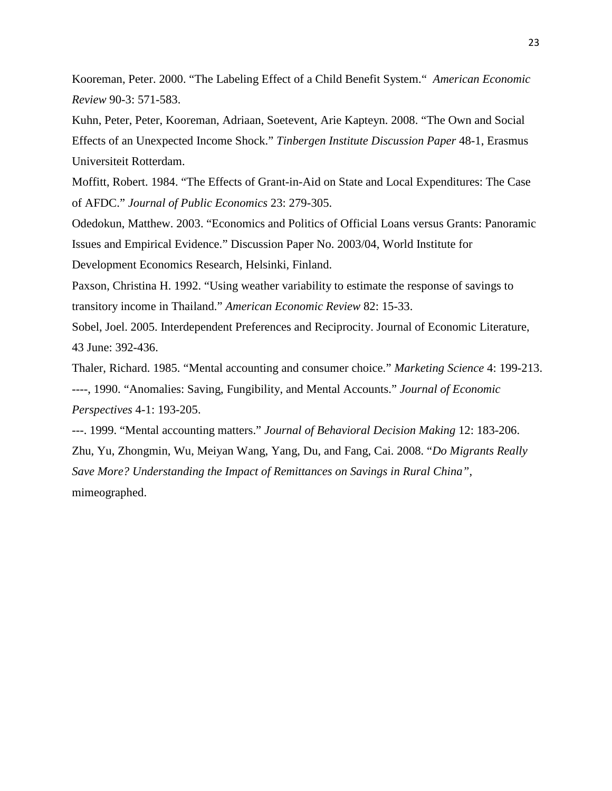Kooreman, Peter. 2000. "The Labeling Effect of a Child Benefit System." *American Economic Review* 90-3: 571-583.

Kuhn, Peter, Peter, Kooreman, Adriaan, Soetevent, Arie Kapteyn. 2008. "The Own and Social Effects of an Unexpected Income Shock." *Tinbergen Institute Discussion Paper* 48-1, Erasmus Universiteit Rotterdam.

Moffitt, Robert. 1984. "The Effects of Grant-in-Aid on State and Local Expenditures: The Case of AFDC." *Journal of Public Economics* 23: 279-305.

Odedokun, Matthew. 2003. "Economics and Politics of Official Loans versus Grants: Panoramic Issues and Empirical Evidence." Discussion Paper No. 2003/04, World Institute for Development Economics Research, Helsinki, Finland.

Paxson, Christina H. 1992. "Using weather variability to estimate the response of savings to transitory income in Thailand." *American Economic Review* 82: 15-33.

Sobel, Joel. 2005. Interdependent Preferences and Reciprocity. Journal of Economic Literature, 43 June: 392-436.

Thaler, Richard. 1985. "Mental accounting and consumer choice." *Marketing Science* 4: 199-213. ----, 1990. "Anomalies: Saving, Fungibility, and Mental Accounts." *Journal of Economic Perspectives* 4-1: 193-205.

---. 1999. "Mental accounting matters." *Journal of Behavioral Decision Making* 12: 183-206. Zhu, Yu, Zhongmin, Wu, Meiyan Wang, Yang, Du, and Fang, Cai. 2008. "*Do Migrants Really Save More? Understanding the Impact of Remittances on Savings in Rural China"*, mimeographed.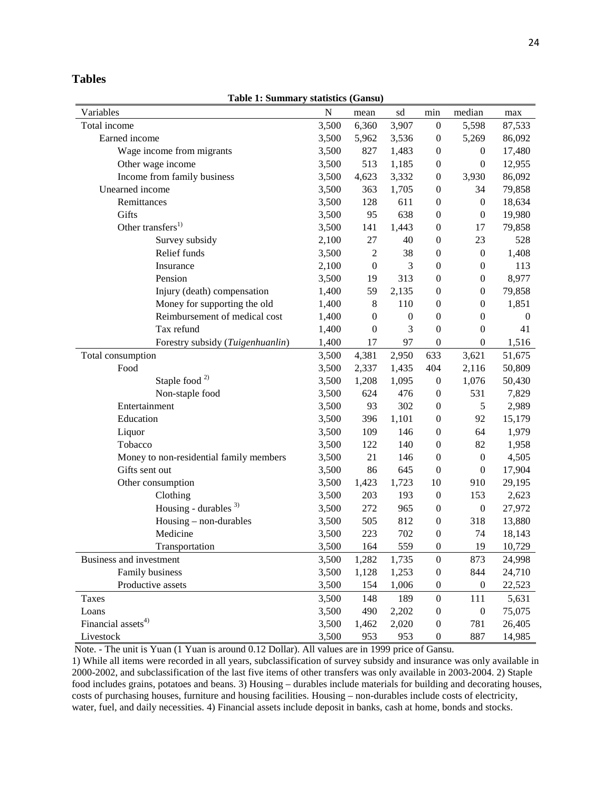**Table 1: Summary statistics (Gansu)** 

| Variables                               | ${\bf N}$ | mean             | sd               | min              | median           | max              |
|-----------------------------------------|-----------|------------------|------------------|------------------|------------------|------------------|
| Total income                            | 3,500     | 6,360            | 3,907            | $\boldsymbol{0}$ | 5,598            | 87,533           |
| Earned income                           | 3,500     | 5,962            | 3,536            | $\boldsymbol{0}$ | 5,269            | 86,092           |
| Wage income from migrants               | 3,500     | 827              | 1,483            | $\boldsymbol{0}$ | $\boldsymbol{0}$ | 17,480           |
| Other wage income                       | 3,500     | 513              | 1,185            | $\boldsymbol{0}$ | $\boldsymbol{0}$ | 12,955           |
| Income from family business             | 3,500     | 4,623            | 3,332            | $\boldsymbol{0}$ | 3,930            | 86,092           |
| Unearned income                         | 3,500     | 363              | 1,705            | $\boldsymbol{0}$ | 34               | 79,858           |
| Remittances                             | 3,500     | 128              | 611              | $\boldsymbol{0}$ | $\boldsymbol{0}$ | 18,634           |
| Gifts                                   | 3,500     | 95               | 638              | $\boldsymbol{0}$ | $\boldsymbol{0}$ | 19,980           |
| Other transfers <sup>1)</sup>           | 3,500     | 141              | 1,443            | $\boldsymbol{0}$ | 17               | 79,858           |
| Survey subsidy                          | 2,100     | 27               | 40               | $\boldsymbol{0}$ | 23               | 528              |
| Relief funds                            | 3,500     | $\boldsymbol{2}$ | 38               | $\boldsymbol{0}$ | $\boldsymbol{0}$ | 1,408            |
| Insurance                               | 2,100     | $\boldsymbol{0}$ | 3                | $\boldsymbol{0}$ | $\boldsymbol{0}$ | 113              |
| Pension                                 | 3,500     | 19               | 313              | $\boldsymbol{0}$ | $\boldsymbol{0}$ | 8,977            |
| Injury (death) compensation             | 1,400     | 59               | 2,135            | $\boldsymbol{0}$ | $\boldsymbol{0}$ | 79,858           |
| Money for supporting the old            | 1,400     | $\,8\,$          | 110              | $\boldsymbol{0}$ | $\boldsymbol{0}$ | 1,851            |
| Reimbursement of medical cost           | 1,400     | $\boldsymbol{0}$ | $\boldsymbol{0}$ | $\boldsymbol{0}$ | $\boldsymbol{0}$ | $\boldsymbol{0}$ |
| Tax refund                              | 1,400     | $\boldsymbol{0}$ | 3                | $\boldsymbol{0}$ | $\boldsymbol{0}$ | 41               |
| Forestry subsidy (Tuigenhuanlin)        | 1,400     | 17               | 97               | $\boldsymbol{0}$ | $\boldsymbol{0}$ | 1,516            |
| Total consumption                       | 3,500     | 4,381            | 2,950            | 633              | 3,621            | 51,675           |
| Food                                    | 3,500     | 2,337            | 1,435            | 404              | 2,116            | 50,809           |
| Staple food <sup>2)</sup>               | 3,500     | 1,208            | 1,095            | $\boldsymbol{0}$ | 1,076            | 50,430           |
| Non-staple food                         | 3,500     | 624              | 476              | $\boldsymbol{0}$ | 531              | 7,829            |
| Entertainment                           | 3,500     | 93               | 302              | $\boldsymbol{0}$ | 5                | 2,989            |
| Education                               | 3,500     | 396              | 1,101            | $\boldsymbol{0}$ | 92               | 15,179           |
| Liquor                                  | 3,500     | 109              | 146              | $\boldsymbol{0}$ | 64               | 1,979            |
| Tobacco                                 | 3,500     | 122              | 140              | $\boldsymbol{0}$ | 82               | 1,958            |
| Money to non-residential family members | 3,500     | 21               | 146              | $\boldsymbol{0}$ | $\boldsymbol{0}$ | 4,505            |
| Gifts sent out                          | 3,500     | 86               | 645              | $\boldsymbol{0}$ | $\boldsymbol{0}$ | 17,904           |
| Other consumption                       | 3,500     | 1,423            | 1,723            | 10               | 910              | 29,195           |
| Clothing                                | 3,500     | 203              | 193              | $\boldsymbol{0}$ | 153              | 2,623            |
| Housing - durables $3)$                 | 3,500     | 272              | 965              | $\boldsymbol{0}$ | $\boldsymbol{0}$ | 27,972           |
| Housing - non-durables                  | 3,500     | 505              | 812              | $\boldsymbol{0}$ | 318              | 13,880           |
| Medicine                                | 3,500     | 223              | 702              | $\boldsymbol{0}$ | 74               | 18,143           |
| Transportation                          | 3,500     | 164              | 559              | $\boldsymbol{0}$ | 19               | 10,729           |
| Business and investment                 | 3,500     | 1,282            | 1,735            | $\boldsymbol{0}$ | 873              | 24,998           |
| Family business                         | 3,500     | 1,128            | 1,253            | $\boldsymbol{0}$ | 844              | 24,710           |
| Productive assets                       | 3,500     | 154              | 1,006            | $\mathbf{0}$     | $\boldsymbol{0}$ | 22,523           |
| <b>Taxes</b>                            | 3,500     | 148              | 189              | $\boldsymbol{0}$ | 111              | 5,631            |
| Loans                                   | 3,500     | 490              | 2,202            | $\boldsymbol{0}$ | $\boldsymbol{0}$ | 75,075           |
| Financial assets <sup>4)</sup>          | 3,500     | 1,462            | 2,020            | $\boldsymbol{0}$ | 781              | 26,405           |
| Livestock                               | 3,500     | 953              | 953              | $\boldsymbol{0}$ | 887              | 14,985           |

Note. - The unit is Yuan (1 Yuan is around 0.12 Dollar). All values are in 1999 price of Gansu.

1) While all items were recorded in all years, subclassification of survey subsidy and insurance was only available in 2000-2002, and subclassification of the last five items of other transfers was only available in 2003-2004. 2) Staple food includes grains, potatoes and beans. 3) Housing – durables include materials for building and decorating houses, costs of purchasing houses, furniture and housing facilities. Housing – non-durables include costs of electricity, water, fuel, and daily necessities. 4) Financial assets include deposit in banks, cash at home, bonds and stocks.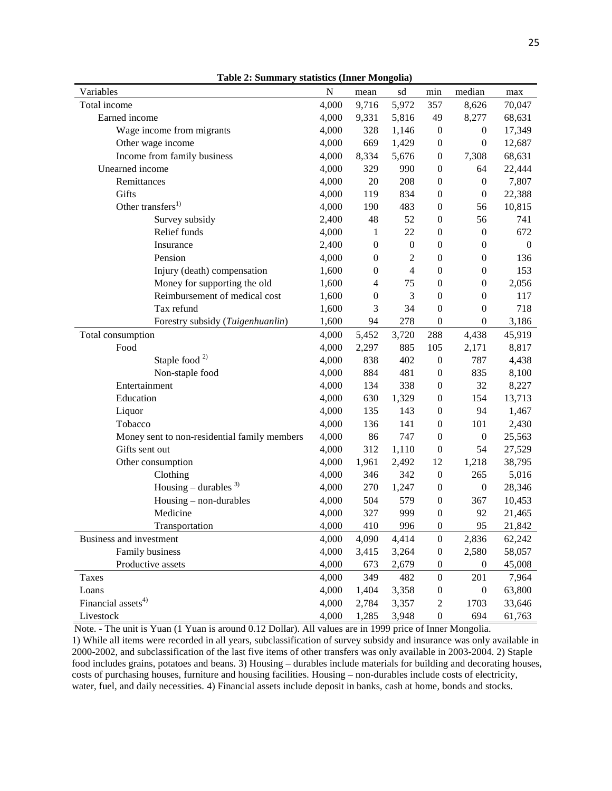| Variables<br>median<br>N<br>sd<br>min<br>mean<br>max<br>Total income<br>4,000<br>5,972<br>357<br>70,047<br>9,716<br>8,626<br>Earned income<br>4,000<br>5,816<br>49<br>68,631<br>9,331<br>8,277<br>Wage income from migrants<br>4,000<br>328<br>17,349<br>1,146<br>$\boldsymbol{0}$<br>$\boldsymbol{0}$<br>Other wage income<br>4,000<br>669<br>1,429<br>$\boldsymbol{0}$<br>$\boldsymbol{0}$<br>12,687<br>Income from family business<br>4,000<br>8,334<br>5,676<br>$\boldsymbol{0}$<br>7,308<br>68,631<br>Unearned income<br>4,000<br>329<br>990<br>22,444<br>$\boldsymbol{0}$<br>64<br>208<br>7,807<br>4,000<br>20<br>$\boldsymbol{0}$<br>Remittances<br>$\boldsymbol{0}$<br>Gifts<br>4,000<br>834<br>$\boldsymbol{0}$<br>22,388<br>119<br>$\boldsymbol{0}$<br>Other transfers <sup>1)</sup><br>4,000<br>483<br>56<br>10,815<br>190<br>$\mathbf{0}$<br>48<br>52<br>56<br>741<br>Survey subsidy<br>2,400<br>$\mathbf{0}$<br>Relief funds<br>22<br>672<br>4,000<br>1<br>$\mathbf{0}$<br>$\boldsymbol{0}$<br>2,400<br>$\boldsymbol{0}$<br>Insurance<br>$\boldsymbol{0}$<br>$\boldsymbol{0}$<br>$\boldsymbol{0}$<br>$\boldsymbol{0}$<br>Pension<br>4,000<br>2<br>$\overline{0}$<br>$\boldsymbol{0}$<br>$\boldsymbol{0}$<br>136<br>1,600<br>$\boldsymbol{0}$<br>$\overline{4}$<br>$\boldsymbol{0}$<br>$\boldsymbol{0}$<br>153<br>Injury (death) compensation<br>Money for supporting the old<br>$\overline{4}$<br>75<br>$\boldsymbol{0}$<br>$\boldsymbol{0}$<br>2,056<br>1,600<br>3<br>Reimbursement of medical cost<br>$\boldsymbol{0}$<br>$\boldsymbol{0}$<br>$\boldsymbol{0}$<br>117<br>1,600<br>Tax refund<br>3<br>34<br>$\boldsymbol{0}$<br>718<br>1,600<br>$\boldsymbol{0}$<br>278<br>1,600<br>94<br>$\boldsymbol{0}$<br>3,186<br>Forestry subsidy (Tuigenhuanlin)<br>$\boldsymbol{0}$<br>3,720<br>45,919<br>Total consumption<br>4,000<br>5,452<br>288<br>4,438<br>105<br>Food<br>4,000<br>2,297<br>885<br>2,171<br>8,817<br>Staple food <sup>2)</sup><br>4,000<br>838<br>402<br>787<br>4,438<br>$\boldsymbol{0}$<br>Non-staple food<br>4,000<br>884<br>481<br>835<br>8,100<br>$\boldsymbol{0}$<br>Entertainment<br>4,000<br>134<br>338<br>$\boldsymbol{0}$<br>32<br>8,227<br>Education<br>4,000<br>630<br>1,329<br>154<br>13,713<br>$\mathbf{0}$<br>Liquor<br>4,000<br>135<br>143<br>94<br>1,467<br>$\mathbf{0}$<br>101<br>2,430<br>Tobacco<br>4,000<br>136<br>141<br>$\mathbf{0}$<br>86<br>747<br>Money sent to non-residential family members<br>4,000<br>$\boldsymbol{0}$<br>$\boldsymbol{0}$<br>25,563<br>4,000<br>312<br>$\boldsymbol{0}$<br>54<br>27,529<br>Gifts sent out<br>1,110<br>4,000<br>1,961<br>2,492<br>12<br>1,218<br>38,795<br>Other consumption |
|-------------------------------------------------------------------------------------------------------------------------------------------------------------------------------------------------------------------------------------------------------------------------------------------------------------------------------------------------------------------------------------------------------------------------------------------------------------------------------------------------------------------------------------------------------------------------------------------------------------------------------------------------------------------------------------------------------------------------------------------------------------------------------------------------------------------------------------------------------------------------------------------------------------------------------------------------------------------------------------------------------------------------------------------------------------------------------------------------------------------------------------------------------------------------------------------------------------------------------------------------------------------------------------------------------------------------------------------------------------------------------------------------------------------------------------------------------------------------------------------------------------------------------------------------------------------------------------------------------------------------------------------------------------------------------------------------------------------------------------------------------------------------------------------------------------------------------------------------------------------------------------------------------------------------------------------------------------------------------------------------------------------------------------------------------------------------------------------------------------------------------------------------------------------------------------------------------------------------------------------------------------------------------------------------------------------------------------------------------------------------------------------------------------------------------------------------------------------------------------------------------------------------------------------------------------------------------------------------------------------------------------------------------------------------|
|                                                                                                                                                                                                                                                                                                                                                                                                                                                                                                                                                                                                                                                                                                                                                                                                                                                                                                                                                                                                                                                                                                                                                                                                                                                                                                                                                                                                                                                                                                                                                                                                                                                                                                                                                                                                                                                                                                                                                                                                                                                                                                                                                                                                                                                                                                                                                                                                                                                                                                                                                                                                                                                                         |
|                                                                                                                                                                                                                                                                                                                                                                                                                                                                                                                                                                                                                                                                                                                                                                                                                                                                                                                                                                                                                                                                                                                                                                                                                                                                                                                                                                                                                                                                                                                                                                                                                                                                                                                                                                                                                                                                                                                                                                                                                                                                                                                                                                                                                                                                                                                                                                                                                                                                                                                                                                                                                                                                         |
|                                                                                                                                                                                                                                                                                                                                                                                                                                                                                                                                                                                                                                                                                                                                                                                                                                                                                                                                                                                                                                                                                                                                                                                                                                                                                                                                                                                                                                                                                                                                                                                                                                                                                                                                                                                                                                                                                                                                                                                                                                                                                                                                                                                                                                                                                                                                                                                                                                                                                                                                                                                                                                                                         |
|                                                                                                                                                                                                                                                                                                                                                                                                                                                                                                                                                                                                                                                                                                                                                                                                                                                                                                                                                                                                                                                                                                                                                                                                                                                                                                                                                                                                                                                                                                                                                                                                                                                                                                                                                                                                                                                                                                                                                                                                                                                                                                                                                                                                                                                                                                                                                                                                                                                                                                                                                                                                                                                                         |
|                                                                                                                                                                                                                                                                                                                                                                                                                                                                                                                                                                                                                                                                                                                                                                                                                                                                                                                                                                                                                                                                                                                                                                                                                                                                                                                                                                                                                                                                                                                                                                                                                                                                                                                                                                                                                                                                                                                                                                                                                                                                                                                                                                                                                                                                                                                                                                                                                                                                                                                                                                                                                                                                         |
|                                                                                                                                                                                                                                                                                                                                                                                                                                                                                                                                                                                                                                                                                                                                                                                                                                                                                                                                                                                                                                                                                                                                                                                                                                                                                                                                                                                                                                                                                                                                                                                                                                                                                                                                                                                                                                                                                                                                                                                                                                                                                                                                                                                                                                                                                                                                                                                                                                                                                                                                                                                                                                                                         |
|                                                                                                                                                                                                                                                                                                                                                                                                                                                                                                                                                                                                                                                                                                                                                                                                                                                                                                                                                                                                                                                                                                                                                                                                                                                                                                                                                                                                                                                                                                                                                                                                                                                                                                                                                                                                                                                                                                                                                                                                                                                                                                                                                                                                                                                                                                                                                                                                                                                                                                                                                                                                                                                                         |
|                                                                                                                                                                                                                                                                                                                                                                                                                                                                                                                                                                                                                                                                                                                                                                                                                                                                                                                                                                                                                                                                                                                                                                                                                                                                                                                                                                                                                                                                                                                                                                                                                                                                                                                                                                                                                                                                                                                                                                                                                                                                                                                                                                                                                                                                                                                                                                                                                                                                                                                                                                                                                                                                         |
|                                                                                                                                                                                                                                                                                                                                                                                                                                                                                                                                                                                                                                                                                                                                                                                                                                                                                                                                                                                                                                                                                                                                                                                                                                                                                                                                                                                                                                                                                                                                                                                                                                                                                                                                                                                                                                                                                                                                                                                                                                                                                                                                                                                                                                                                                                                                                                                                                                                                                                                                                                                                                                                                         |
|                                                                                                                                                                                                                                                                                                                                                                                                                                                                                                                                                                                                                                                                                                                                                                                                                                                                                                                                                                                                                                                                                                                                                                                                                                                                                                                                                                                                                                                                                                                                                                                                                                                                                                                                                                                                                                                                                                                                                                                                                                                                                                                                                                                                                                                                                                                                                                                                                                                                                                                                                                                                                                                                         |
|                                                                                                                                                                                                                                                                                                                                                                                                                                                                                                                                                                                                                                                                                                                                                                                                                                                                                                                                                                                                                                                                                                                                                                                                                                                                                                                                                                                                                                                                                                                                                                                                                                                                                                                                                                                                                                                                                                                                                                                                                                                                                                                                                                                                                                                                                                                                                                                                                                                                                                                                                                                                                                                                         |
|                                                                                                                                                                                                                                                                                                                                                                                                                                                                                                                                                                                                                                                                                                                                                                                                                                                                                                                                                                                                                                                                                                                                                                                                                                                                                                                                                                                                                                                                                                                                                                                                                                                                                                                                                                                                                                                                                                                                                                                                                                                                                                                                                                                                                                                                                                                                                                                                                                                                                                                                                                                                                                                                         |
|                                                                                                                                                                                                                                                                                                                                                                                                                                                                                                                                                                                                                                                                                                                                                                                                                                                                                                                                                                                                                                                                                                                                                                                                                                                                                                                                                                                                                                                                                                                                                                                                                                                                                                                                                                                                                                                                                                                                                                                                                                                                                                                                                                                                                                                                                                                                                                                                                                                                                                                                                                                                                                                                         |
|                                                                                                                                                                                                                                                                                                                                                                                                                                                                                                                                                                                                                                                                                                                                                                                                                                                                                                                                                                                                                                                                                                                                                                                                                                                                                                                                                                                                                                                                                                                                                                                                                                                                                                                                                                                                                                                                                                                                                                                                                                                                                                                                                                                                                                                                                                                                                                                                                                                                                                                                                                                                                                                                         |
|                                                                                                                                                                                                                                                                                                                                                                                                                                                                                                                                                                                                                                                                                                                                                                                                                                                                                                                                                                                                                                                                                                                                                                                                                                                                                                                                                                                                                                                                                                                                                                                                                                                                                                                                                                                                                                                                                                                                                                                                                                                                                                                                                                                                                                                                                                                                                                                                                                                                                                                                                                                                                                                                         |
|                                                                                                                                                                                                                                                                                                                                                                                                                                                                                                                                                                                                                                                                                                                                                                                                                                                                                                                                                                                                                                                                                                                                                                                                                                                                                                                                                                                                                                                                                                                                                                                                                                                                                                                                                                                                                                                                                                                                                                                                                                                                                                                                                                                                                                                                                                                                                                                                                                                                                                                                                                                                                                                                         |
|                                                                                                                                                                                                                                                                                                                                                                                                                                                                                                                                                                                                                                                                                                                                                                                                                                                                                                                                                                                                                                                                                                                                                                                                                                                                                                                                                                                                                                                                                                                                                                                                                                                                                                                                                                                                                                                                                                                                                                                                                                                                                                                                                                                                                                                                                                                                                                                                                                                                                                                                                                                                                                                                         |
|                                                                                                                                                                                                                                                                                                                                                                                                                                                                                                                                                                                                                                                                                                                                                                                                                                                                                                                                                                                                                                                                                                                                                                                                                                                                                                                                                                                                                                                                                                                                                                                                                                                                                                                                                                                                                                                                                                                                                                                                                                                                                                                                                                                                                                                                                                                                                                                                                                                                                                                                                                                                                                                                         |
|                                                                                                                                                                                                                                                                                                                                                                                                                                                                                                                                                                                                                                                                                                                                                                                                                                                                                                                                                                                                                                                                                                                                                                                                                                                                                                                                                                                                                                                                                                                                                                                                                                                                                                                                                                                                                                                                                                                                                                                                                                                                                                                                                                                                                                                                                                                                                                                                                                                                                                                                                                                                                                                                         |
|                                                                                                                                                                                                                                                                                                                                                                                                                                                                                                                                                                                                                                                                                                                                                                                                                                                                                                                                                                                                                                                                                                                                                                                                                                                                                                                                                                                                                                                                                                                                                                                                                                                                                                                                                                                                                                                                                                                                                                                                                                                                                                                                                                                                                                                                                                                                                                                                                                                                                                                                                                                                                                                                         |
|                                                                                                                                                                                                                                                                                                                                                                                                                                                                                                                                                                                                                                                                                                                                                                                                                                                                                                                                                                                                                                                                                                                                                                                                                                                                                                                                                                                                                                                                                                                                                                                                                                                                                                                                                                                                                                                                                                                                                                                                                                                                                                                                                                                                                                                                                                                                                                                                                                                                                                                                                                                                                                                                         |
|                                                                                                                                                                                                                                                                                                                                                                                                                                                                                                                                                                                                                                                                                                                                                                                                                                                                                                                                                                                                                                                                                                                                                                                                                                                                                                                                                                                                                                                                                                                                                                                                                                                                                                                                                                                                                                                                                                                                                                                                                                                                                                                                                                                                                                                                                                                                                                                                                                                                                                                                                                                                                                                                         |
|                                                                                                                                                                                                                                                                                                                                                                                                                                                                                                                                                                                                                                                                                                                                                                                                                                                                                                                                                                                                                                                                                                                                                                                                                                                                                                                                                                                                                                                                                                                                                                                                                                                                                                                                                                                                                                                                                                                                                                                                                                                                                                                                                                                                                                                                                                                                                                                                                                                                                                                                                                                                                                                                         |
|                                                                                                                                                                                                                                                                                                                                                                                                                                                                                                                                                                                                                                                                                                                                                                                                                                                                                                                                                                                                                                                                                                                                                                                                                                                                                                                                                                                                                                                                                                                                                                                                                                                                                                                                                                                                                                                                                                                                                                                                                                                                                                                                                                                                                                                                                                                                                                                                                                                                                                                                                                                                                                                                         |
|                                                                                                                                                                                                                                                                                                                                                                                                                                                                                                                                                                                                                                                                                                                                                                                                                                                                                                                                                                                                                                                                                                                                                                                                                                                                                                                                                                                                                                                                                                                                                                                                                                                                                                                                                                                                                                                                                                                                                                                                                                                                                                                                                                                                                                                                                                                                                                                                                                                                                                                                                                                                                                                                         |
|                                                                                                                                                                                                                                                                                                                                                                                                                                                                                                                                                                                                                                                                                                                                                                                                                                                                                                                                                                                                                                                                                                                                                                                                                                                                                                                                                                                                                                                                                                                                                                                                                                                                                                                                                                                                                                                                                                                                                                                                                                                                                                                                                                                                                                                                                                                                                                                                                                                                                                                                                                                                                                                                         |
|                                                                                                                                                                                                                                                                                                                                                                                                                                                                                                                                                                                                                                                                                                                                                                                                                                                                                                                                                                                                                                                                                                                                                                                                                                                                                                                                                                                                                                                                                                                                                                                                                                                                                                                                                                                                                                                                                                                                                                                                                                                                                                                                                                                                                                                                                                                                                                                                                                                                                                                                                                                                                                                                         |
|                                                                                                                                                                                                                                                                                                                                                                                                                                                                                                                                                                                                                                                                                                                                                                                                                                                                                                                                                                                                                                                                                                                                                                                                                                                                                                                                                                                                                                                                                                                                                                                                                                                                                                                                                                                                                                                                                                                                                                                                                                                                                                                                                                                                                                                                                                                                                                                                                                                                                                                                                                                                                                                                         |
|                                                                                                                                                                                                                                                                                                                                                                                                                                                                                                                                                                                                                                                                                                                                                                                                                                                                                                                                                                                                                                                                                                                                                                                                                                                                                                                                                                                                                                                                                                                                                                                                                                                                                                                                                                                                                                                                                                                                                                                                                                                                                                                                                                                                                                                                                                                                                                                                                                                                                                                                                                                                                                                                         |
|                                                                                                                                                                                                                                                                                                                                                                                                                                                                                                                                                                                                                                                                                                                                                                                                                                                                                                                                                                                                                                                                                                                                                                                                                                                                                                                                                                                                                                                                                                                                                                                                                                                                                                                                                                                                                                                                                                                                                                                                                                                                                                                                                                                                                                                                                                                                                                                                                                                                                                                                                                                                                                                                         |
| 4,000<br>346<br>342<br>$\boldsymbol{0}$<br>265<br>5,016<br>Clothing                                                                                                                                                                                                                                                                                                                                                                                                                                                                                                                                                                                                                                                                                                                                                                                                                                                                                                                                                                                                                                                                                                                                                                                                                                                                                                                                                                                                                                                                                                                                                                                                                                                                                                                                                                                                                                                                                                                                                                                                                                                                                                                                                                                                                                                                                                                                                                                                                                                                                                                                                                                                     |
| Housing – durables $3$ )<br>4,000<br>270<br>1,247<br>$\boldsymbol{0}$<br>$\boldsymbol{0}$<br>28,346                                                                                                                                                                                                                                                                                                                                                                                                                                                                                                                                                                                                                                                                                                                                                                                                                                                                                                                                                                                                                                                                                                                                                                                                                                                                                                                                                                                                                                                                                                                                                                                                                                                                                                                                                                                                                                                                                                                                                                                                                                                                                                                                                                                                                                                                                                                                                                                                                                                                                                                                                                     |
| $H \text{ousing} - \text{non-durables}$<br>504<br>579<br>10,453<br>4,000<br>$\boldsymbol{0}$<br>367                                                                                                                                                                                                                                                                                                                                                                                                                                                                                                                                                                                                                                                                                                                                                                                                                                                                                                                                                                                                                                                                                                                                                                                                                                                                                                                                                                                                                                                                                                                                                                                                                                                                                                                                                                                                                                                                                                                                                                                                                                                                                                                                                                                                                                                                                                                                                                                                                                                                                                                                                                     |
| Medicine<br>4,000<br>327<br>999<br>92<br>21,465<br>$\boldsymbol{0}$                                                                                                                                                                                                                                                                                                                                                                                                                                                                                                                                                                                                                                                                                                                                                                                                                                                                                                                                                                                                                                                                                                                                                                                                                                                                                                                                                                                                                                                                                                                                                                                                                                                                                                                                                                                                                                                                                                                                                                                                                                                                                                                                                                                                                                                                                                                                                                                                                                                                                                                                                                                                     |
| 95<br>4,000<br>410<br>996<br>$\boldsymbol{0}$<br>21,842<br>Transportation                                                                                                                                                                                                                                                                                                                                                                                                                                                                                                                                                                                                                                                                                                                                                                                                                                                                                                                                                                                                                                                                                                                                                                                                                                                                                                                                                                                                                                                                                                                                                                                                                                                                                                                                                                                                                                                                                                                                                                                                                                                                                                                                                                                                                                                                                                                                                                                                                                                                                                                                                                                               |
| 4,000<br>4,414<br>Business and investment<br>4,090<br>$\boldsymbol{0}$<br>2,836<br>62,242                                                                                                                                                                                                                                                                                                                                                                                                                                                                                                                                                                                                                                                                                                                                                                                                                                                                                                                                                                                                                                                                                                                                                                                                                                                                                                                                                                                                                                                                                                                                                                                                                                                                                                                                                                                                                                                                                                                                                                                                                                                                                                                                                                                                                                                                                                                                                                                                                                                                                                                                                                               |
| Family business<br>4,000<br>3,415<br>3,264<br>2,580<br>58,057<br>$\boldsymbol{0}$                                                                                                                                                                                                                                                                                                                                                                                                                                                                                                                                                                                                                                                                                                                                                                                                                                                                                                                                                                                                                                                                                                                                                                                                                                                                                                                                                                                                                                                                                                                                                                                                                                                                                                                                                                                                                                                                                                                                                                                                                                                                                                                                                                                                                                                                                                                                                                                                                                                                                                                                                                                       |
| Productive assets<br>4,000<br>673<br>2,679<br>45,008<br>$\mathbf{0}$<br>$\boldsymbol{0}$                                                                                                                                                                                                                                                                                                                                                                                                                                                                                                                                                                                                                                                                                                                                                                                                                                                                                                                                                                                                                                                                                                                                                                                                                                                                                                                                                                                                                                                                                                                                                                                                                                                                                                                                                                                                                                                                                                                                                                                                                                                                                                                                                                                                                                                                                                                                                                                                                                                                                                                                                                                |
| 482<br>201<br>7,964<br>Taxes<br>4,000<br>349<br>$\boldsymbol{0}$                                                                                                                                                                                                                                                                                                                                                                                                                                                                                                                                                                                                                                                                                                                                                                                                                                                                                                                                                                                                                                                                                                                                                                                                                                                                                                                                                                                                                                                                                                                                                                                                                                                                                                                                                                                                                                                                                                                                                                                                                                                                                                                                                                                                                                                                                                                                                                                                                                                                                                                                                                                                        |
| 4,000<br>1,404<br>3,358<br>63,800<br>Loans<br>$\boldsymbol{0}$<br>$\boldsymbol{0}$                                                                                                                                                                                                                                                                                                                                                                                                                                                                                                                                                                                                                                                                                                                                                                                                                                                                                                                                                                                                                                                                                                                                                                                                                                                                                                                                                                                                                                                                                                                                                                                                                                                                                                                                                                                                                                                                                                                                                                                                                                                                                                                                                                                                                                                                                                                                                                                                                                                                                                                                                                                      |
| Financial assets <sup>4)</sup><br>4,000<br>2,784<br>3,357<br>1703<br>33,646<br>$\overline{c}$                                                                                                                                                                                                                                                                                                                                                                                                                                                                                                                                                                                                                                                                                                                                                                                                                                                                                                                                                                                                                                                                                                                                                                                                                                                                                                                                                                                                                                                                                                                                                                                                                                                                                                                                                                                                                                                                                                                                                                                                                                                                                                                                                                                                                                                                                                                                                                                                                                                                                                                                                                           |
| Livestock<br>4,000<br>1,285<br>3,948<br>694<br>61,763<br>$\boldsymbol{0}$                                                                                                                                                                                                                                                                                                                                                                                                                                                                                                                                                                                                                                                                                                                                                                                                                                                                                                                                                                                                                                                                                                                                                                                                                                                                                                                                                                                                                                                                                                                                                                                                                                                                                                                                                                                                                                                                                                                                                                                                                                                                                                                                                                                                                                                                                                                                                                                                                                                                                                                                                                                               |

**Table 2: Summary statistics (Inner Mongolia)**

 Note. - The unit is Yuan (1 Yuan is around 0.12 Dollar). All values are in 1999 price of Inner Mongolia. 1) While all items were recorded in all years, subclassification of survey subsidy and insurance was only available in 2000-2002, and subclassification of the last five items of other transfers was only available in 2003-2004. 2) Staple food includes grains, potatoes and beans. 3) Housing – durables include materials for building and decorating houses, costs of purchasing houses, furniture and housing facilities. Housing – non-durables include costs of electricity, water, fuel, and daily necessities. 4) Financial assets include deposit in banks, cash at home, bonds and stocks.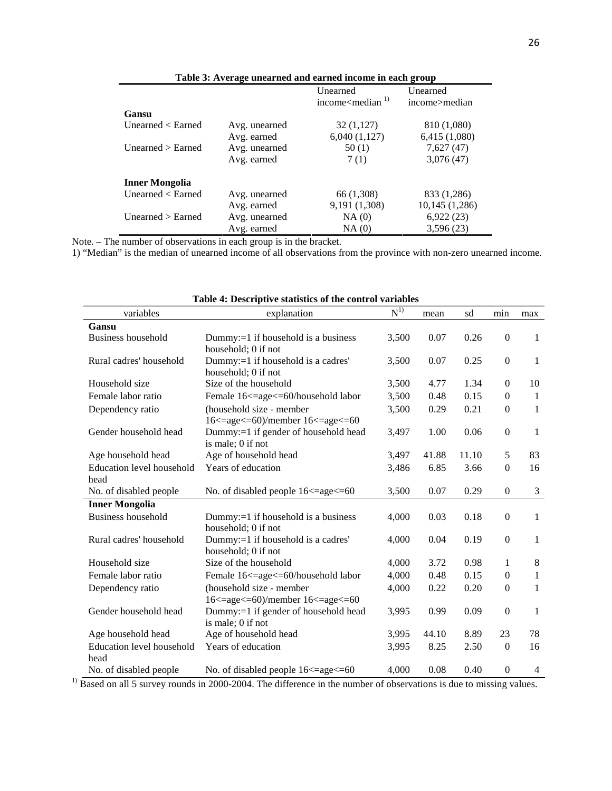|                           |               | <b>Unearned</b>             | <b>Unearned</b> |
|---------------------------|---------------|-----------------------------|-----------------|
|                           |               | income $\leq$ median $^{1}$ | income>median   |
| Gansu                     |               |                             |                 |
| Unearned $\langle$ Earned | Avg. unearned | 32(1,127)                   | 810 (1,080)     |
|                           | Avg. earned   | 6,040(1,127)                | 6,415 (1,080)   |
| Unearned $>$ Earned       | Avg. unearned | 50(1)                       | 7,627(47)       |
|                           | Avg. earned   | 7(1)                        | 3,076(47)       |
| <b>Inner Mongolia</b>     |               |                             |                 |
| Unearned $\langle$ Earned | Avg. unearned | 66 (1,308)                  | 833 (1,286)     |
|                           | Avg. earned   | 9,191 (1,308)               | 10,145(1,286)   |
| Unearned $>$ Earned       | Avg. unearned | NA(0)                       | 6,922(23)       |
|                           | Avg. earned   | NA(0)                       | 3,596(23)       |

**Table 3: Average unearned and earned income in each group** 

Note. – The number of observations in each group is in the bracket.

1) "Median" is the median of unearned income of all observations from the province with non-zero unearned income.

| variables                 | explanation                                                 | $N^{1)}$ | mean  | sd    | min              | max            |
|---------------------------|-------------------------------------------------------------|----------|-------|-------|------------------|----------------|
| Gansu                     |                                                             |          |       |       |                  |                |
| <b>Business household</b> | Dummy:=1 if household is a business                         | 3,500    | 0.07  | 0.26  | $\boldsymbol{0}$ | 1              |
|                           | household; 0 if not                                         |          |       |       |                  |                |
| Rural cadres' household   | Dummy:=1 if household is a cadres'                          | 3,500    | 0.07  | 0.25  | $\boldsymbol{0}$ | 1              |
|                           | household; 0 if not                                         |          |       |       |                  |                |
| Household size            | Size of the household                                       | 3,500    | 4.77  | 1.34  | $\mathbf{0}$     | 10             |
| Female labor ratio        | Female 16<=age<=60/household labor                          | 3,500    | 0.48  | 0.15  | $\mathbf{0}$     | $\mathbf{1}$   |
| Dependency ratio          | (household size - member                                    | 3,500    | 0.29  | 0.21  | $\mathbf{0}$     | 1              |
|                           | 16 <= age <= 60)/member 16 <= age <= 60                     |          |       |       |                  |                |
| Gender household head     | Dummy:=1 if gender of household head                        | 3,497    | 1.00  | 0.06  | $\mathbf{0}$     | 1              |
|                           | is male; 0 if not                                           |          |       |       |                  |                |
| Age household head        | Age of household head                                       | 3,497    | 41.88 | 11.10 | 5                | 83             |
| Education level household | Years of education                                          | 3,486    | 6.85  | 3.66  | $\mathbf{0}$     | 16             |
| head                      |                                                             |          |       |       |                  |                |
| No. of disabled people    | No. of disabled people 16 <= age <= 60                      | 3,500    | 0.07  | 0.29  | $\mathbf{0}$     | 3              |
| <b>Inner Mongolia</b>     |                                                             |          |       |       |                  |                |
| <b>Business household</b> | Dummy:=1 if household is a business                         | 4,000    | 0.03  | 0.18  | $\boldsymbol{0}$ | $\mathbf{1}$   |
|                           | household; 0 if not                                         |          |       |       |                  |                |
| Rural cadres' household   | Dummy:=1 if household is a cadres'                          | 4,000    | 0.04  | 0.19  | $\boldsymbol{0}$ | $\mathbf{1}$   |
|                           | household; 0 if not                                         |          |       |       |                  |                |
| Household size            | Size of the household                                       | 4,000    | 3.72  | 0.98  | 1                | $\,8\,$        |
| Female labor ratio        | Female 16<=age<=60/household labor                          | 4,000    | 0.48  | 0.15  | $\mathbf{0}$     | 1              |
| Dependency ratio          | (household size - member                                    | 4,000    | 0.22  | 0.20  | $\mathbf{0}$     | 1              |
|                           | $16 \leq$ =age $\leq$ =60)/member $16 \leq$ =age $\leq$ =60 |          |       |       |                  |                |
| Gender household head     | Dummy:=1 if gender of household head                        | 3,995    | 0.99  | 0.09  | $\mathbf{0}$     | 1              |
|                           | is male; 0 if not                                           |          |       |       |                  |                |
| Age household head        | Age of household head                                       | 3,995    | 44.10 | 8.89  | 23               | 78             |
| Education level household | Years of education                                          | 3,995    | 8.25  | 2.50  | $\boldsymbol{0}$ | 16             |
| head                      |                                                             |          |       |       |                  |                |
| No. of disabled people    | No. of disabled people 16 <= age <= 60                      | 4,000    | 0.08  | 0.40  | $\mathbf{0}$     | $\overline{4}$ |

**Table 4: Descriptive statistics of the control variables** 

<sup>1)</sup> Based on all 5 survey rounds in 2000-2004. The difference in the number of observations is due to missing values.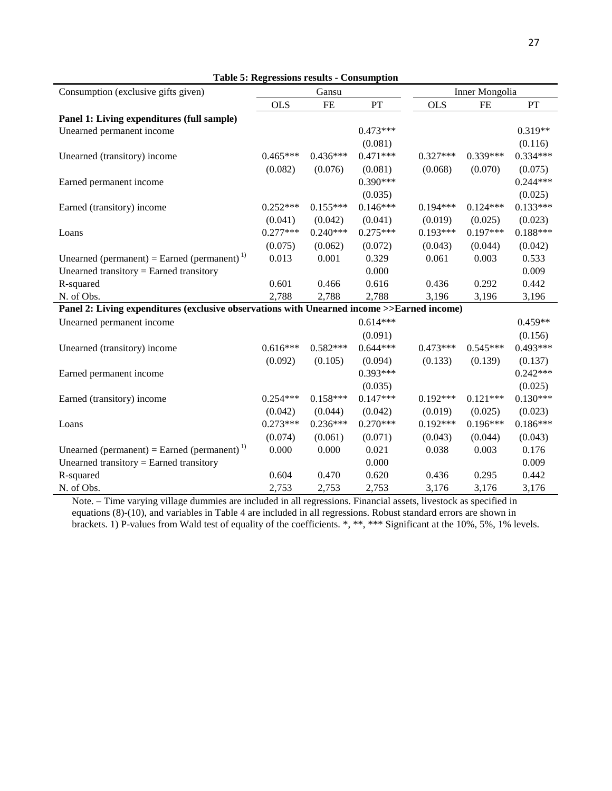| Consumption (exclusive gifts given)                                                        |            | Gansu      |            |            | Inner Mongolia |            |
|--------------------------------------------------------------------------------------------|------------|------------|------------|------------|----------------|------------|
|                                                                                            | <b>OLS</b> | <b>FE</b>  | PT         | <b>OLS</b> | FE             | PT         |
| Panel 1: Living expenditures (full sample)                                                 |            |            |            |            |                |            |
| Unearned permanent income                                                                  |            |            | $0.473***$ |            |                | $0.319**$  |
|                                                                                            |            |            | (0.081)    |            |                | (0.116)    |
| Unearned (transitory) income                                                               | $0.465***$ | $0.436***$ | $0.471***$ | $0.327***$ | $0.339***$     | 0.334***   |
|                                                                                            | (0.082)    | (0.076)    | (0.081)    | (0.068)    | (0.070)        | (0.075)    |
| Earned permanent income                                                                    |            |            | $0.390***$ |            |                | $0.244***$ |
|                                                                                            |            |            | (0.035)    |            |                | (0.025)    |
| Earned (transitory) income                                                                 | $0.252***$ | $0.155***$ | $0.146***$ | $0.194***$ | $0.124***$     | $0.133***$ |
|                                                                                            | (0.041)    | (0.042)    | (0.041)    | (0.019)    | (0.025)        | (0.023)    |
| Loans                                                                                      | $0.277***$ | $0.240***$ | $0.275***$ | $0.193***$ | $0.197***$     | $0.188***$ |
|                                                                                            | (0.075)    | (0.062)    | (0.072)    | (0.043)    | (0.044)        | (0.042)    |
| Unearned (permanent) = Earned (permanent) <sup>1)</sup>                                    | 0.013      | 0.001      | 0.329      | 0.061      | 0.003          | 0.533      |
| Unearned transitory = Earned transitory                                                    |            |            | 0.000      |            |                | 0.009      |
| R-squared                                                                                  | 0.601      | 0.466      | 0.616      | 0.436      | 0.292          | 0.442      |
| N. of Obs.                                                                                 | 2,788      | 2,788      | 2,788      | 3,196      | 3,196          | 3,196      |
| Panel 2: Living expenditures (exclusive observations with Unearned income >>Earned income) |            |            |            |            |                |            |
| Unearned permanent income                                                                  |            |            | $0.614***$ |            |                | $0.459**$  |
|                                                                                            |            |            | (0.091)    |            |                | (0.156)    |
| Unearned (transitory) income                                                               | $0.616***$ | $0.582***$ | $0.644***$ | $0.473***$ | $0.545***$     | $0.493***$ |
|                                                                                            | (0.092)    | (0.105)    | (0.094)    | (0.133)    | (0.139)        | (0.137)    |
| Earned permanent income                                                                    |            |            | $0.393***$ |            |                | $0.242***$ |
|                                                                                            |            |            | (0.035)    |            |                | (0.025)    |
| Earned (transitory) income                                                                 | $0.254***$ | $0.158***$ | $0.147***$ | $0.192***$ | $0.121***$     | $0.130***$ |
|                                                                                            | (0.042)    | (0.044)    | (0.042)    | (0.019)    | (0.025)        | (0.023)    |
| Loans                                                                                      | $0.273***$ | $0.236***$ | $0.270***$ | $0.192***$ | $0.196***$     | $0.186***$ |
|                                                                                            | (0.074)    | (0.061)    | (0.071)    | (0.043)    | (0.044)        | (0.043)    |
| Unearned (permanent) = Earned (permanent) <sup>1)</sup>                                    | 0.000      | 0.000      | 0.021      | 0.038      | 0.003          | 0.176      |
| Unearned transitory = Earned transitory                                                    |            |            | 0.000      |            |                | 0.009      |
| R-squared                                                                                  | 0.604      | 0.470      | 0.620      | 0.436      | 0.295          | 0.442      |
| N. of Obs.                                                                                 | 2,753      | 2,753      | 2,753      | 3,176      | 3,176          | 3,176      |

Note. – Time varying village dummies are included in all regressions. Financial assets, livestock as specified in equations (8)-(10), and variables in Table 4 are included in all regressions. Robust standard errors are shown in brackets. 1) P-values from Wald test of equality of the coefficients. \*, \*\*, \*\*\* Significant at the 10%, 5%, 1% levels.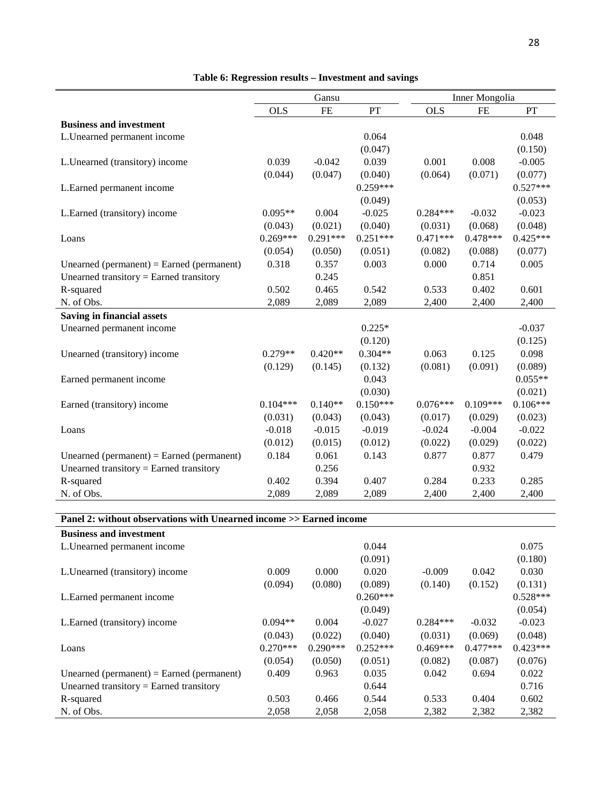|                                           | Gansu      |            |            |            | Inner Mongolia |            |
|-------------------------------------------|------------|------------|------------|------------|----------------|------------|
|                                           | <b>OLS</b> | FE         | PT         | <b>OLS</b> | FE             | PT         |
| <b>Business and investment</b>            |            |            |            |            |                |            |
| L.Unearned permanent income               |            |            | 0.064      |            |                | 0.048      |
|                                           |            |            | (0.047)    |            |                | (0.150)    |
| L.Unearned (transitory) income            | 0.039      | $-0.042$   | 0.039      | 0.001      | 0.008          | $-0.005$   |
|                                           | (0.044)    | (0.047)    | (0.040)    | (0.064)    | (0.071)        | (0.077)    |
| L.Earned permanent income                 |            |            | $0.259***$ |            |                | $0.527***$ |
|                                           |            |            | (0.049)    |            |                | (0.053)    |
| L.Earned (transitory) income              | $0.095**$  | 0.004      | $-0.025$   | $0.284***$ | $-0.032$       | $-0.023$   |
|                                           | (0.043)    | (0.021)    | (0.040)    | (0.031)    | (0.068)        | (0.048)    |
| Loans                                     | $0.269***$ | $0.291***$ | $0.251***$ | $0.471***$ | $0.478***$     | $0.425***$ |
|                                           | (0.054)    | (0.050)    | (0.051)    | (0.082)    | (0.088)        | (0.077)    |
| Unearned (permanent) = Earned (permanent) | 0.318      | 0.357      | 0.003      | 0.000      | 0.714          | 0.005      |
| Unearned transitory = Earned transitory   |            | 0.245      |            |            | 0.851          |            |
| R-squared                                 | 0.502      | 0.465      | 0.542      | 0.533      | 0.402          | 0.601      |
| N. of Obs.                                | 2,089      | 2,089      | 2,089      | 2,400      | 2,400          | 2,400      |
| <b>Saving in financial assets</b>         |            |            |            |            |                |            |
| Unearned permanent income                 |            |            | $0.225*$   |            |                | $-0.037$   |
|                                           |            |            | (0.120)    |            |                | (0.125)    |
| Unearned (transitory) income              | $0.279**$  | $0.420**$  | $0.304**$  | 0.063      | 0.125          | 0.098      |
|                                           | (0.129)    | (0.145)    | (0.132)    | (0.081)    | (0.091)        | (0.089)    |
| Earned permanent income                   |            |            | 0.043      |            |                | $0.055**$  |
|                                           |            |            | (0.030)    |            |                | (0.021)    |
| Earned (transitory) income                | $0.104***$ | $0.140**$  | $0.150***$ | $0.076***$ | $0.109***$     | $0.106***$ |
|                                           | (0.031)    | (0.043)    | (0.043)    | (0.017)    | (0.029)        | (0.023)    |
| Loans                                     | $-0.018$   | $-0.015$   | $-0.019$   | $-0.024$   | $-0.004$       | $-0.022$   |
|                                           | (0.012)    | (0.015)    | (0.012)    | (0.022)    | (0.029)        | (0.022)    |
| Unearned (permanent) = Earned (permanent) | 0.184      | 0.061      | 0.143      | 0.877      | 0.877          | 0.479      |
| Unearned transitory = Earned transitory   |            | 0.256      |            |            | 0.932          |            |
| R-squared                                 | 0.402      | 0.394      | 0.407      | 0.284      | 0.233          | 0.285      |
| N. of Obs.                                | 2,089      | 2,089      | 2,089      | 2,400      | 2,400          | 2,400      |

## **Table 6: Regression results – Investment and savings**

## **Panel 2: without observations with Unearned income >> Earned income**

| <b>Business and investment</b>            |            |            |            |            |            |            |
|-------------------------------------------|------------|------------|------------|------------|------------|------------|
| L. Unearned permanent income              |            |            | 0.044      |            |            | 0.075      |
|                                           |            |            | (0.091)    |            |            | (0.180)    |
| L. Unearned (transitory) income           | 0.009      | 0.000      | 0.020      | $-0.009$   | 0.042      | 0.030      |
|                                           | (0.094)    | (0.080)    | (0.089)    | (0.140)    | (0.152)    | (0.131)    |
| L. Earned permanent income                |            |            | $0.260***$ |            |            | $0.528***$ |
|                                           |            |            | (0.049)    |            |            | (0.054)    |
| L. Earned (transitory) income             | $0.094**$  | 0.004      | $-0.027$   | $0.284***$ | $-0.032$   | $-0.023$   |
|                                           | (0.043)    | (0.022)    | (0.040)    | (0.031)    | (0.069)    | (0.048)    |
| Loans                                     | $0.270***$ | $0.290***$ | $0.252***$ | $0.469***$ | $0.477***$ | $0.423***$ |
|                                           | (0.054)    | (0.050)    | (0.051)    | (0.082)    | (0.087)    | (0.076)    |
| Unearned (permanent) = Earned (permanent) | 0.409      | 0.963      | 0.035      | 0.042      | 0.694      | 0.022      |
| Unearned transitory $=$ Earned transitory |            |            | 0.644      |            |            | 0.716      |
| R-squared                                 | 0.503      | 0.466      | 0.544      | 0.533      | 0.404      | 0.602      |
| N. of Obs.                                | 2,058      | 2,058      | 2,058      | 2,382      | 2,382      | 2,382      |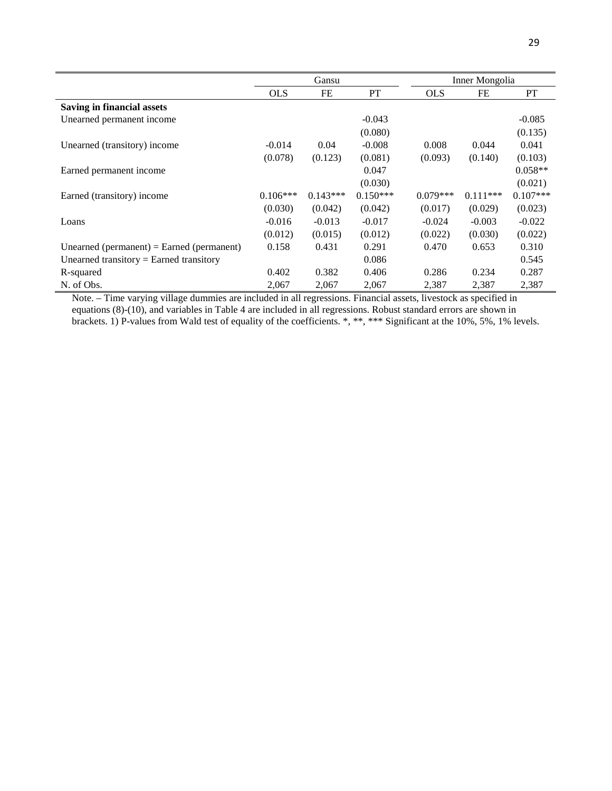|                                           | Gansu      |            |            |            | Inner Mongolia |            |
|-------------------------------------------|------------|------------|------------|------------|----------------|------------|
|                                           | <b>OLS</b> | FE         | PT         | <b>OLS</b> | FE             | PT         |
| <b>Saving in financial assets</b>         |            |            |            |            |                |            |
| Unearned permanent income                 |            |            | $-0.043$   |            |                | $-0.085$   |
|                                           |            |            | (0.080)    |            |                | (0.135)    |
| Unearned (transitory) income              | $-0.014$   | 0.04       | $-0.008$   | 0.008      | 0.044          | 0.041      |
|                                           | (0.078)    | (0.123)    | (0.081)    | (0.093)    | (0.140)        | (0.103)    |
| Earned permanent income                   |            |            | 0.047      |            |                | $0.058**$  |
|                                           |            |            | (0.030)    |            |                | (0.021)    |
| Earned (transitory) income                | $0.106***$ | $0.143***$ | $0.150***$ | $0.079***$ | $0.111***$     | $0.107***$ |
|                                           | (0.030)    | (0.042)    | (0.042)    | (0.017)    | (0.029)        | (0.023)    |
| Loans                                     | $-0.016$   | $-0.013$   | $-0.017$   | $-0.024$   | $-0.003$       | $-0.022$   |
|                                           | (0.012)    | (0.015)    | (0.012)    | (0.022)    | (0.030)        | (0.022)    |
| Unearned (permanent) = Earned (permanent) | 0.158      | 0.431      | 0.291      | 0.470      | 0.653          | 0.310      |
| Unearned transitory = Earned transitory   |            |            | 0.086      |            |                | 0.545      |
| R-squared                                 | 0.402      | 0.382      | 0.406      | 0.286      | 0.234          | 0.287      |
| N. of Obs.                                | 2,067      | 2,067      | 2,067      | 2,387      | 2,387          | 2,387      |

Note. – Time varying village dummies are included in all regressions. Financial assets, livestock as specified in equations (8)-(10), and variables in Table 4 are included in all regressions. Robust standard errors are shown in brackets. 1) P-values from Wald test of equality of the coefficients. \*, \*\*, \*\*\* Significant at the 10%, 5%, 1% levels.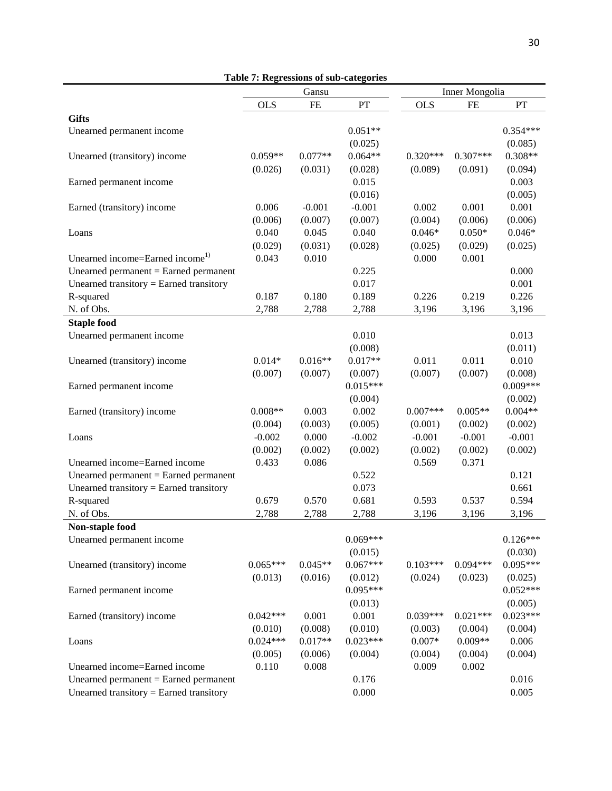|                                             | Table 7. Regressions of sub-categories | Gansu     |                      |            | Inner Mongolia |                      |
|---------------------------------------------|----------------------------------------|-----------|----------------------|------------|----------------|----------------------|
|                                             | <b>OLS</b>                             | <b>FE</b> | PT                   | <b>OLS</b> | <b>FE</b>      | PT                   |
| <b>Gifts</b>                                |                                        |           |                      |            |                |                      |
| Unearned permanent income                   |                                        |           | $0.051**$            |            |                | $0.354***$           |
|                                             |                                        |           |                      |            |                |                      |
|                                             | $0.059**$                              |           | (0.025)<br>$0.064**$ |            | $0.307***$     | (0.085)<br>$0.308**$ |
| Unearned (transitory) income                |                                        | $0.077**$ |                      | $0.320***$ |                |                      |
|                                             | (0.026)                                | (0.031)   | (0.028)              | (0.089)    | (0.091)        | (0.094)              |
| Earned permanent income                     |                                        |           | 0.015                |            |                | 0.003                |
|                                             |                                        |           | (0.016)              |            |                | (0.005)              |
| Earned (transitory) income                  | 0.006                                  | $-0.001$  | $-0.001$             | 0.002      | 0.001          | 0.001                |
|                                             | (0.006)                                | (0.007)   | (0.007)              | (0.004)    | (0.006)        | (0.006)              |
| Loans                                       | 0.040                                  | 0.045     | 0.040                | $0.046*$   | $0.050*$       | $0.046*$             |
|                                             | (0.029)                                | (0.031)   | (0.028)              | (0.025)    | (0.029)        | (0.025)              |
| Unearned income=Earned income <sup>1)</sup> | 0.043                                  | 0.010     |                      | 0.000      | 0.001          |                      |
| Unearned permanent $=$ Earned permanent     |                                        |           | 0.225                |            |                | 0.000                |
| Unearned transitory = Earned transitory     |                                        |           | 0.017                |            |                | 0.001                |
| R-squared                                   | 0.187                                  | 0.180     | 0.189                | 0.226      | 0.219          | 0.226                |
| N. of Obs.                                  | 2,788                                  | 2,788     | 2,788                | 3,196      | 3,196          | 3,196                |
| <b>Staple food</b>                          |                                        |           |                      |            |                |                      |
| Unearned permanent income                   |                                        |           | 0.010                |            |                | 0.013                |
|                                             |                                        |           | (0.008)              |            |                | (0.011)              |
| Unearned (transitory) income                | $0.014*$                               | $0.016**$ | $0.017**$            | 0.011      | 0.011          | 0.010                |
|                                             | (0.007)                                | (0.007)   | (0.007)              | (0.007)    | (0.007)        | (0.008)              |
| Earned permanent income                     |                                        |           | $0.015***$           |            |                | $0.009***$           |
|                                             |                                        |           | (0.004)              |            |                | (0.002)              |
| Earned (transitory) income                  | $0.008**$                              | 0.003     | 0.002                | $0.007***$ | $0.005**$      | $0.004**$            |
|                                             | (0.004)                                | (0.003)   | (0.005)              | (0.001)    | (0.002)        | (0.002)              |
| Loans                                       | $-0.002$                               | 0.000     | $-0.002$             | $-0.001$   | $-0.001$       | $-0.001$             |
|                                             | (0.002)                                | (0.002)   | (0.002)              | (0.002)    | (0.002)        | (0.002)              |
| Unearned income=Earned income               | 0.433                                  | 0.086     |                      | 0.569      | 0.371          |                      |
| Unearned permanent $=$ Earned permanent     |                                        |           | 0.522                |            |                | 0.121                |
| Unearned transitory = Earned transitory     |                                        |           |                      |            |                | 0.661                |
|                                             |                                        |           | 0.073                |            |                |                      |
| R-squared                                   | 0.679                                  | 0.570     | 0.681                | 0.593      | 0.537          | 0.594                |
| N. of Obs.                                  | 2,788                                  | 2,788     | 2,788                | 3,196      | 3,196          | 3,196                |
| Non-staple food                             |                                        |           |                      |            |                |                      |
| Unearned permanent income                   |                                        |           | $0.069***$           |            |                | $0.126***$           |
|                                             |                                        |           | (0.015)              |            |                | (0.030)              |
| Unearned (transitory) income                | $0.065***$                             | $0.045**$ | $0.067***$           | $0.103***$ | $0.094***$     | $0.095***$           |
|                                             | (0.013)                                | (0.016)   | (0.012)              | (0.024)    | (0.023)        | (0.025)              |
| Earned permanent income                     |                                        |           | $0.095***$           |            |                | $0.052***$           |
|                                             |                                        |           | (0.013)              |            |                | (0.005)              |
| Earned (transitory) income                  | $0.042***$                             | 0.001     | 0.001                | $0.039***$ | $0.021***$     | $0.023***$           |
|                                             | (0.010)                                | (0.008)   | (0.010)              | (0.003)    | (0.004)        | (0.004)              |
| Loans                                       | $0.024***$                             | $0.017**$ | $0.023***$           | $0.007*$   | $0.009**$      | 0.006                |
|                                             | (0.005)                                | (0.006)   | (0.004)              | (0.004)    | (0.004)        | (0.004)              |
| Unearned income=Earned income               | 0.110                                  | 0.008     |                      | 0.009      | 0.002          |                      |
| Unearned permanent $=$ Earned permanent     |                                        |           | 0.176                |            |                | 0.016                |
| Unearned transitory = Earned transitory     |                                        |           | 0.000                |            |                | 0.005                |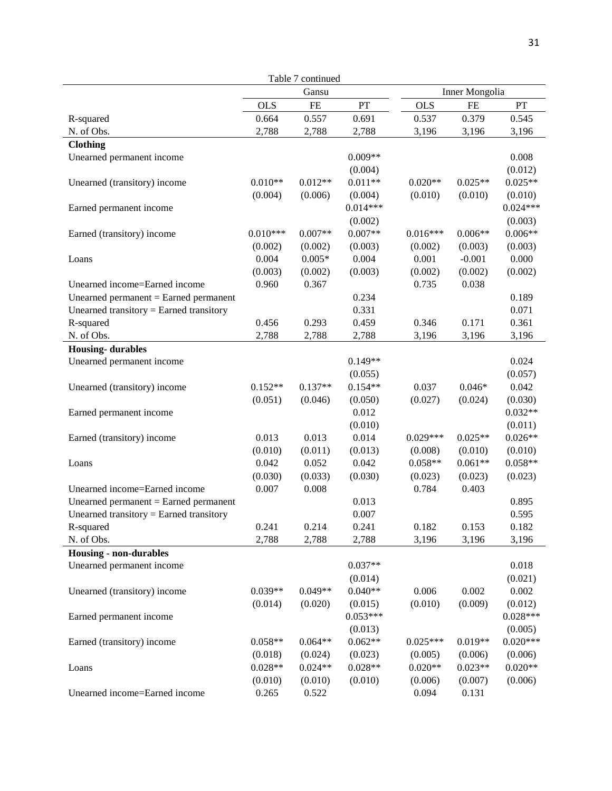|                                         |                      | Table 7 continued    |                      |                      |                |                      |
|-----------------------------------------|----------------------|----------------------|----------------------|----------------------|----------------|----------------------|
|                                         |                      | Gansu                |                      |                      | Inner Mongolia |                      |
|                                         | <b>OLS</b>           | FE                   | PT                   | <b>OLS</b>           | <b>FE</b>      | PT                   |
| R-squared                               | 0.664                | 0.557                | 0.691                | 0.537                | 0.379          | 0.545                |
| N. of Obs.                              | 2,788                | 2,788                | 2,788                | 3,196                | 3,196          | 3,196                |
| <b>Clothing</b>                         |                      |                      |                      |                      |                |                      |
| Unearned permanent income               |                      |                      | $0.009**$            |                      |                | 0.008                |
|                                         |                      |                      | (0.004)              |                      |                | (0.012)              |
| Unearned (transitory) income            | $0.010**$            | $0.012**$            | $0.011**$            | $0.020**$            | $0.025**$      | $0.025**$            |
|                                         | (0.004)              | (0.006)              | (0.004)              | (0.010)              | (0.010)        | (0.010)              |
| Earned permanent income                 |                      |                      | $0.014***$           |                      |                | $0.024***$           |
|                                         |                      |                      | (0.002)              |                      |                | (0.003)              |
| Earned (transitory) income              | $0.010***$           | $0.007**$            | $0.007**$            | $0.016***$           | $0.006**$      | $0.006**$            |
|                                         | (0.002)              | (0.002)              | (0.003)              | (0.002)              | (0.003)        | (0.003)              |
| Loans                                   | 0.004                | $0.005*$             | 0.004                | 0.001                | $-0.001$       | 0.000                |
|                                         | (0.003)              | (0.002)              | (0.003)              | (0.002)              | (0.002)        | (0.002)              |
| Unearned income=Earned income           | 0.960                | 0.367                |                      | 0.735                | 0.038          |                      |
| Unearned permanent $=$ Earned permanent |                      |                      | 0.234                |                      |                | 0.189                |
| Unearned transitory = Earned transitory |                      |                      | 0.331                |                      |                | 0.071                |
| R-squared                               | 0.456                | 0.293                | 0.459                | 0.346                | 0.171          | 0.361                |
| N. of Obs.                              | 2,788                | 2,788                | 2,788                | 3,196                | 3,196          | 3,196                |
| <b>Housing-durables</b>                 |                      |                      |                      |                      |                |                      |
| Unearned permanent income               |                      |                      | $0.149**$            |                      |                | 0.024                |
|                                         |                      |                      | (0.055)              |                      |                | (0.057)              |
| Unearned (transitory) income            | $0.152**$            | $0.137**$            | $0.154**$            | 0.037                | $0.046*$       | 0.042                |
|                                         | (0.051)              | (0.046)              | (0.050)              | (0.027)              | (0.024)        | (0.030)              |
| Earned permanent income                 |                      |                      | 0.012                |                      |                | $0.032**$            |
|                                         |                      |                      | (0.010)              |                      |                | (0.011)              |
| Earned (transitory) income              | 0.013                | 0.013                | 0.014                | $0.029***$           | $0.025**$      | $0.026**$            |
|                                         | (0.010)              | (0.011)              | (0.013)              | (0.008)              | (0.010)        | (0.010)              |
| Loans                                   | 0.042                | 0.052                | 0.042                | $0.058**$            | $0.061**$      | $0.058**$            |
|                                         | (0.030)              | (0.033)              | (0.030)              | (0.023)              | (0.023)        | (0.023)              |
| Unearned income=Earned income           | 0.007                | 0.008                |                      | 0.784                | 0.403          |                      |
| Unearned permanent $=$ Earned permanent |                      |                      | 0.013                |                      |                | 0.895                |
| Unearned transitory = Earned transitory |                      |                      | 0.007                |                      |                | 0.595                |
| R-squared                               | 0.241                | 0.214                | 0.241                | 0.182                | 0.153          | 0.182                |
| N. of Obs.                              | 2,788                | 2,788                | 2,788                | 3,196                | 3,196          | 3,196                |
| <b>Housing - non-durables</b>           |                      |                      |                      |                      |                |                      |
| Unearned permanent income               |                      |                      | $0.037**$            |                      |                | 0.018                |
|                                         |                      |                      | (0.014)              |                      |                | (0.021)              |
| Unearned (transitory) income            | $0.039**$            | $0.049**$            | $0.040**$            | 0.006                | 0.002          | 0.002                |
|                                         | (0.014)              | (0.020)              | (0.015)              | (0.010)              | (0.009)        | (0.012)              |
|                                         |                      |                      | $0.053***$           |                      |                | $0.028***$           |
| Earned permanent income                 |                      |                      | (0.013)              |                      |                | (0.005)              |
| Earned (transitory) income              | $0.058**$            | $0.064**$            | $0.062**$            | $0.025***$           | $0.019**$      | $0.020***$           |
|                                         |                      |                      |                      |                      | (0.006)        |                      |
|                                         | (0.018)<br>$0.028**$ | (0.024)<br>$0.024**$ | (0.023)<br>$0.028**$ | (0.005)<br>$0.020**$ | $0.023**$      | (0.006)<br>$0.020**$ |
| Loans                                   |                      |                      |                      |                      |                |                      |
|                                         | (0.010)              | (0.010)              | (0.010)              | (0.006)<br>0.094     | (0.007)        | (0.006)              |
| Unearned income=Earned income           | 0.265                | 0.522                |                      |                      | 0.131          |                      |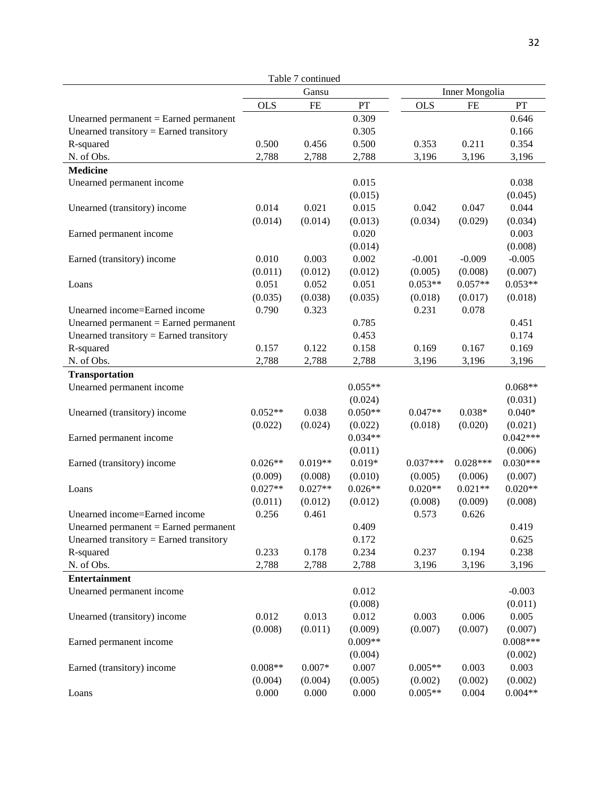|                                         |            | Table 7 continued |           |            |                |            |
|-----------------------------------------|------------|-------------------|-----------|------------|----------------|------------|
|                                         |            | Gansu             |           |            | Inner Mongolia |            |
|                                         | <b>OLS</b> | <b>FE</b>         | PT        | <b>OLS</b> | <b>FE</b>      | PT         |
| Unearned permanent $=$ Earned permanent |            |                   | 0.309     |            |                | 0.646      |
| Unearned transitory = Earned transitory |            |                   | 0.305     |            |                | 0.166      |
| R-squared                               | 0.500      | 0.456             | 0.500     | 0.353      | 0.211          | 0.354      |
| N. of Obs.                              | 2,788      | 2,788             | 2,788     | 3,196      | 3,196          | 3,196      |
| <b>Medicine</b>                         |            |                   |           |            |                |            |
| Unearned permanent income               |            |                   | 0.015     |            |                | 0.038      |
|                                         |            |                   | (0.015)   |            |                | (0.045)    |
| Unearned (transitory) income            | 0.014      | 0.021             | 0.015     | 0.042      | 0.047          | 0.044      |
|                                         | (0.014)    | (0.014)           | (0.013)   | (0.034)    | (0.029)        | (0.034)    |
| Earned permanent income                 |            |                   | 0.020     |            |                | 0.003      |
|                                         |            |                   | (0.014)   |            |                | (0.008)    |
| Earned (transitory) income              | 0.010      | 0.003             | 0.002     | $-0.001$   | $-0.009$       | $-0.005$   |
|                                         | (0.011)    | (0.012)           | (0.012)   | (0.005)    | (0.008)        | (0.007)    |
| Loans                                   | 0.051      | 0.052             | 0.051     | $0.053**$  | $0.057**$      | $0.053**$  |
|                                         | (0.035)    | (0.038)           | (0.035)   | (0.018)    | (0.017)        | (0.018)    |
| Unearned income=Earned income           | 0.790      | 0.323             |           | 0.231      | 0.078          |            |
| Unearned permanent $=$ Earned permanent |            |                   | 0.785     |            |                | 0.451      |
| Unearned transitory = Earned transitory |            |                   | 0.453     |            |                | 0.174      |
| R-squared                               | 0.157      | 0.122             | 0.158     | 0.169      | 0.167          | 0.169      |
| N. of Obs.                              | 2,788      | 2,788             | 2,788     | 3,196      | 3,196          | 3,196      |
| Transportation                          |            |                   |           |            |                |            |
| Unearned permanent income               |            |                   | $0.055**$ |            |                | $0.068**$  |
|                                         |            |                   | (0.024)   |            |                | (0.031)    |
| Unearned (transitory) income            | $0.052**$  | 0.038             | $0.050**$ | $0.047**$  | $0.038*$       | $0.040*$   |
|                                         | (0.022)    | (0.024)           | (0.022)   | (0.018)    | (0.020)        | (0.021)    |
| Earned permanent income                 |            |                   | $0.034**$ |            |                | $0.042***$ |
|                                         |            |                   | (0.011)   |            |                | (0.006)    |
| Earned (transitory) income              | $0.026**$  | $0.019**$         | $0.019*$  | $0.037***$ | $0.028***$     | $0.030***$ |
|                                         | (0.009)    | (0.008)           | (0.010)   | (0.005)    | (0.006)        | (0.007)    |
| Loans                                   | $0.027**$  | $0.027**$         | $0.026**$ | $0.020**$  | $0.021**$      | $0.020**$  |
|                                         | (0.011)    | (0.012)           | (0.012)   | (0.008)    | (0.009)        | (0.008)    |
| Unearned income=Earned income           | 0.256      | 0.461             |           | 0.573      | 0.626          |            |
| Unearned permanent $=$ Earned permanent |            |                   | 0.409     |            |                | 0.419      |
| Unearned transitory = Earned transitory |            |                   | 0.172     |            |                | 0.625      |
| R-squared                               | 0.233      | 0.178             | 0.234     | 0.237      | 0.194          | 0.238      |
| N. of Obs.                              | 2,788      | 2,788             | 2,788     | 3,196      | 3,196          | 3,196      |
| <b>Entertainment</b>                    |            |                   |           |            |                |            |
| Unearned permanent income               |            |                   | 0.012     |            |                | $-0.003$   |
|                                         |            |                   | (0.008)   |            |                | (0.011)    |
| Unearned (transitory) income            | 0.012      | 0.013             | 0.012     | 0.003      | 0.006          | 0.005      |
|                                         | (0.008)    | (0.011)           | (0.009)   | (0.007)    | (0.007)        | (0.007)    |
| Earned permanent income                 |            |                   | $0.009**$ |            |                | $0.008***$ |
|                                         |            |                   | (0.004)   |            |                | (0.002)    |
| Earned (transitory) income              | $0.008**$  | $0.007*$          | 0.007     | $0.005**$  | 0.003          | 0.003      |
|                                         | (0.004)    | (0.004)           | (0.005)   | (0.002)    | (0.002)        | (0.002)    |
| Loans                                   | 0.000      | 0.000             | 0.000     | $0.005**$  | 0.004          | $0.004**$  |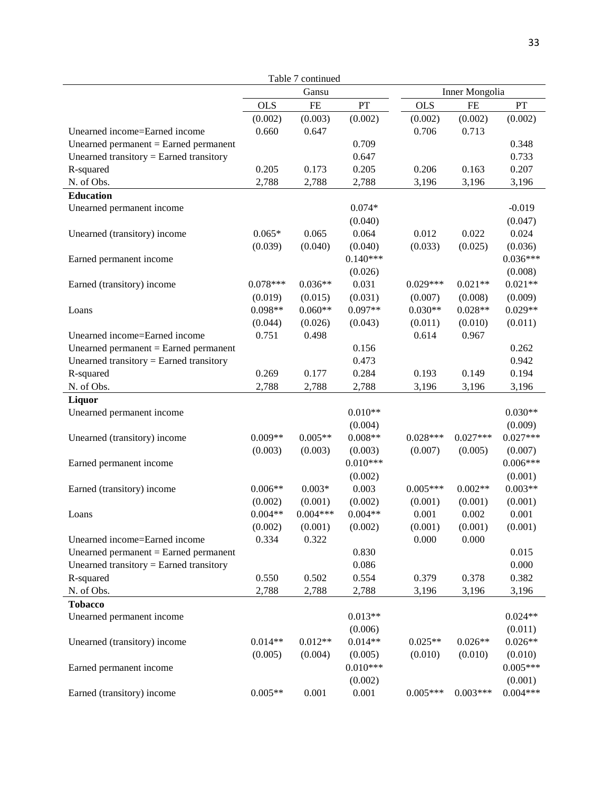|                                         |            | Table 7 continued |            |            |                |            |
|-----------------------------------------|------------|-------------------|------------|------------|----------------|------------|
|                                         | Gansu      |                   |            |            | Inner Mongolia |            |
|                                         | <b>OLS</b> | FE                | PT         | <b>OLS</b> | <b>FE</b>      | PT         |
|                                         | (0.002)    | (0.003)           | (0.002)    | (0.002)    | (0.002)        | (0.002)    |
| Unearned income=Earned income           | 0.660      | 0.647             |            | 0.706      | 0.713          |            |
| Unearned permanent $=$ Earned permanent |            |                   | 0.709      |            |                | 0.348      |
| Unearned transitory = Earned transitory |            |                   | 0.647      |            |                | 0.733      |
| R-squared                               | 0.205      | 0.173             | 0.205      | 0.206      | 0.163          | 0.207      |
| N. of Obs.                              | 2,788      | 2,788             | 2,788      | 3,196      | 3,196          | 3,196      |
| <b>Education</b>                        |            |                   |            |            |                |            |
| Unearned permanent income               |            |                   | $0.074*$   |            |                | $-0.019$   |
|                                         |            |                   | (0.040)    |            |                | (0.047)    |
| Unearned (transitory) income            | $0.065*$   | 0.065             | 0.064      | 0.012      | 0.022          | 0.024      |
|                                         | (0.039)    | (0.040)           | (0.040)    | (0.033)    | (0.025)        | (0.036)    |
| Earned permanent income                 |            |                   | $0.140***$ |            |                | $0.036***$ |
|                                         |            |                   | (0.026)    |            |                | (0.008)    |
| Earned (transitory) income              | $0.078***$ | $0.036**$         | 0.031      | $0.029***$ | $0.021**$      | $0.021**$  |
|                                         | (0.019)    | (0.015)           | (0.031)    | (0.007)    | (0.008)        | (0.009)    |
| Loans                                   | $0.098**$  | $0.060**$         | $0.097**$  | $0.030**$  | $0.028**$      | $0.029**$  |
|                                         | (0.044)    | (0.026)           | (0.043)    | (0.011)    | (0.010)        | (0.011)    |
| Unearned income=Earned income           | 0.751      | 0.498             |            | 0.614      | 0.967          |            |
| Unearned permanent $=$ Earned permanent |            |                   | 0.156      |            |                | 0.262      |
| Unearned transitory = Earned transitory |            |                   | 0.473      |            |                | 0.942      |
| R-squared                               | 0.269      | 0.177             | 0.284      | 0.193      | 0.149          | 0.194      |
| N. of Obs.                              | 2,788      | 2,788             | 2,788      | 3,196      | 3,196          | 3,196      |
| Liquor                                  |            |                   |            |            |                |            |
| Unearned permanent income               |            |                   | $0.010**$  |            |                | $0.030**$  |
|                                         |            |                   | (0.004)    |            |                | (0.009)    |
| Unearned (transitory) income            | $0.009**$  | $0.005**$         | $0.008**$  | $0.028***$ | $0.027***$     | $0.027***$ |
|                                         | (0.003)    | (0.003)           | (0.003)    | (0.007)    | (0.005)        | (0.007)    |
| Earned permanent income                 |            |                   | $0.010***$ |            |                | $0.006***$ |
|                                         |            |                   | (0.002)    |            |                | (0.001)    |
| Earned (transitory) income              | $0.006**$  | $0.003*$          | 0.003      | $0.005***$ | $0.002**$      | $0.003**$  |
|                                         | (0.002)    | (0.001)           | (0.002)    | (0.001)    | (0.001)        | (0.001)    |
| Loans                                   | $0.004**$  | $0.004***$        | $0.004**$  | 0.001      | 0.002          | 0.001      |
|                                         | (0.002)    | (0.001)           | (0.002)    | (0.001)    | (0.001)        | (0.001)    |
| Unearned income=Earned income           | 0.334      | 0.322             |            | 0.000      | 0.000          |            |
| Unearned permanent $=$ Earned permanent |            |                   | 0.830      |            |                | 0.015      |
| Unearned transitory = Earned transitory |            |                   | 0.086      |            |                | 0.000      |
| R-squared                               | 0.550      | 0.502             | 0.554      | 0.379      | 0.378          | 0.382      |
| N. of Obs.                              | 2,788      | 2,788             | 2,788      | 3,196      | 3,196          | 3,196      |
| <b>Tobacco</b>                          |            |                   |            |            |                |            |
| Unearned permanent income               |            |                   | $0.013**$  |            |                | $0.024**$  |
|                                         |            |                   | (0.006)    |            |                | (0.011)    |
| Unearned (transitory) income            | $0.014**$  | $0.012**$         | $0.014**$  | $0.025**$  | $0.026**$      | $0.026**$  |
|                                         | (0.005)    | (0.004)           | (0.005)    | (0.010)    | (0.010)        | (0.010)    |
| Earned permanent income                 |            |                   | $0.010***$ |            |                | $0.005***$ |
|                                         |            |                   | (0.002)    |            |                | (0.001)    |
| Earned (transitory) income              | $0.005**$  | 0.001             | 0.001      | $0.005***$ | $0.003***$     | $0.004***$ |
|                                         |            |                   |            |            |                |            |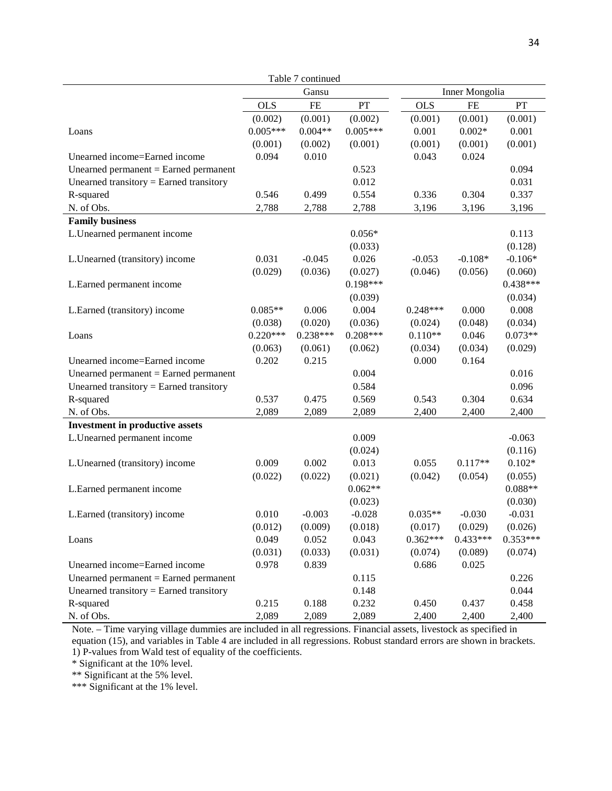| Table 7 continued                       |            |            |            |                |            |            |  |
|-----------------------------------------|------------|------------|------------|----------------|------------|------------|--|
|                                         | Gansu      |            |            | Inner Mongolia |            |            |  |
|                                         | <b>OLS</b> | $\rm FE$   | PT         | <b>OLS</b>     | $\rm FE$   | PT         |  |
|                                         | (0.002)    | (0.001)    | (0.002)    | (0.001)        | (0.001)    | (0.001)    |  |
| Loans                                   | $0.005***$ | $0.004**$  | $0.005***$ | 0.001          | $0.002*$   | 0.001      |  |
|                                         | (0.001)    | (0.002)    | (0.001)    | (0.001)        | (0.001)    | (0.001)    |  |
| Unearned income=Earned income           | 0.094      | 0.010      |            | 0.043          | 0.024      |            |  |
| Unearned permanent $=$ Earned permanent |            |            | 0.523      |                |            | 0.094      |  |
| Unearned transitory = Earned transitory |            |            | 0.012      |                |            | 0.031      |  |
| R-squared                               | 0.546      | 0.499      | 0.554      | 0.336          | 0.304      | 0.337      |  |
| N. of Obs.                              | 2,788      | 2,788      | 2,788      | 3,196          | 3,196      | 3,196      |  |
| <b>Family business</b>                  |            |            |            |                |            |            |  |
| L.Unearned permanent income             |            |            | $0.056*$   |                |            | 0.113      |  |
|                                         |            |            | (0.033)    |                |            | (0.128)    |  |
| L.Unearned (transitory) income          | 0.031      | $-0.045$   | 0.026      | $-0.053$       | $-0.108*$  | $-0.106*$  |  |
|                                         | (0.029)    | (0.036)    | (0.027)    | (0.046)        | (0.056)    | (0.060)    |  |
| L.Earned permanent income               |            |            | $0.198***$ |                |            | $0.438***$ |  |
|                                         |            |            | (0.039)    |                |            | (0.034)    |  |
| L.Earned (transitory) income            | $0.085**$  | 0.006      | 0.004      | $0.248***$     | 0.000      | 0.008      |  |
|                                         | (0.038)    | (0.020)    | (0.036)    | (0.024)        | (0.048)    | (0.034)    |  |
| Loans                                   | $0.220***$ | $0.238***$ | $0.208***$ | $0.110**$      | 0.046      | $0.073**$  |  |
|                                         | (0.063)    | (0.061)    | (0.062)    | (0.034)        | (0.034)    | (0.029)    |  |
| Unearned income=Earned income           | 0.202      | 0.215      |            | 0.000          | 0.164      |            |  |
| Unearned permanent $=$ Earned permanent |            |            | 0.004      |                |            | 0.016      |  |
| Unearned transitory = Earned transitory |            |            | 0.584      |                |            | 0.096      |  |
| R-squared                               | 0.537      | 0.475      | 0.569      | 0.543          | 0.304      | 0.634      |  |
| N. of Obs.                              | 2,089      | 2,089      | 2,089      | 2,400          | 2,400      | 2,400      |  |
| <b>Investment in productive assets</b>  |            |            |            |                |            |            |  |
| L.Unearned permanent income             |            |            | 0.009      |                |            | $-0.063$   |  |
|                                         |            |            | (0.024)    |                |            | (0.116)    |  |
| L.Unearned (transitory) income          | 0.009      | 0.002      | 0.013      | 0.055          | $0.117**$  | $0.102*$   |  |
|                                         | (0.022)    | (0.022)    | (0.021)    | (0.042)        | (0.054)    | (0.055)    |  |
| L.Earned permanent income               |            |            | $0.062**$  |                |            | $0.088**$  |  |
|                                         |            |            | (0.023)    |                |            | (0.030)    |  |
| L.Earned (transitory) income            | 0.010      | $-0.003$   | $-0.028$   | $0.035**$      | $-0.030$   | $-0.031$   |  |
|                                         | (0.012)    | (0.009)    | (0.018)    | (0.017)        | (0.029)    | (0.026)    |  |
| Loans                                   | 0.049      | 0.052      | 0.043      | $0.362***$     | $0.433***$ | $0.353***$ |  |
|                                         | (0.031)    | (0.033)    | (0.031)    | (0.074)        | (0.089)    | (0.074)    |  |
| Unearned income=Earned income           | 0.978      | 0.839      |            | 0.686          | 0.025      |            |  |
| Unearned permanent $=$ Earned permanent |            |            | 0.115      |                |            | 0.226      |  |
| Unearned transitory = Earned transitory |            |            | 0.148      |                |            | 0.044      |  |
| R-squared                               | 0.215      | 0.188      | 0.232      | 0.450          | 0.437      | 0.458      |  |
| N. of Obs.                              | 2,089      | 2,089      | 2,089      | 2,400          | 2,400      | 2,400      |  |

Note. – Time varying village dummies are included in all regressions. Financial assets, livestock as specified in equation (15), and variables in Table 4 are included in all regressions. Robust standard errors are shown in brackets. 1) P-values from Wald test of equality of the coefficients.

\* Significant at the 10% level.

\*\* Significant at the 5% level.

\*\*\* Significant at the 1% level.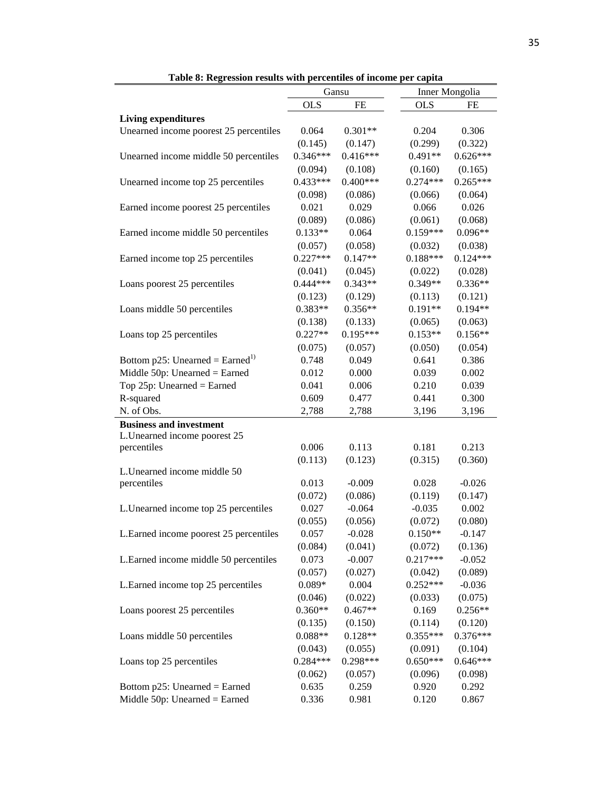|                                            | Gansu      |            | <b>Inner Mongolia</b> |            |
|--------------------------------------------|------------|------------|-----------------------|------------|
|                                            | <b>OLS</b> | FE         | <b>OLS</b>            | FE         |
| <b>Living expenditures</b>                 |            |            |                       |            |
| Unearned income poorest 25 percentiles     | 0.064      | $0.301**$  | 0.204                 | 0.306      |
|                                            | (0.145)    | (0.147)    | (0.299)               | (0.322)    |
| Unearned income middle 50 percentiles      | $0.346***$ | $0.416***$ | $0.491**$             | $0.626***$ |
|                                            | (0.094)    | (0.108)    | (0.160)               | (0.165)    |
| Unearned income top 25 percentiles         | $0.433***$ | $0.400***$ | $0.274***$            | $0.265***$ |
|                                            | (0.098)    | (0.086)    | (0.066)               | (0.064)    |
| Earned income poorest 25 percentiles       | 0.021      | 0.029      | 0.066                 | 0.026      |
|                                            | (0.089)    | (0.086)    | (0.061)               | (0.068)    |
| Earned income middle 50 percentiles        | $0.133**$  | 0.064      | $0.159***$            | $0.096**$  |
|                                            | (0.057)    | (0.058)    | (0.032)               | (0.038)    |
| Earned income top 25 percentiles           | $0.227***$ | $0.147**$  | $0.188***$            | $0.124***$ |
|                                            | (0.041)    | (0.045)    | (0.022)               | (0.028)    |
| Loans poorest 25 percentiles               | $0.444***$ | $0.343**$  | $0.349**$             | $0.336**$  |
|                                            | (0.123)    | (0.129)    | (0.113)               | (0.121)    |
| Loans middle 50 percentiles                | 0.383**    | $0.356**$  | $0.191**$             | $0.194**$  |
|                                            | (0.138)    | (0.133)    | (0.065)               | (0.063)    |
| Loans top 25 percentiles                   | $0.227**$  | $0.195***$ | $0.153**$             | $0.156**$  |
|                                            | (0.075)    | (0.057)    | (0.050)               | (0.054)    |
| Bottom p25: Unearned = $\text{Earned}^{1}$ | 0.748      | 0.049      | 0.641                 | 0.386      |
| Middle $50p$ : Unearned = Earned           | 0.012      | 0.000      | 0.039                 | 0.002      |
| Top $25p$ : Unearned = Earned              | 0.041      | 0.006      | 0.210                 | 0.039      |
| R-squared                                  | 0.609      | 0.477      | 0.441                 | 0.300      |
| N. of Obs.                                 | 2,788      | 2,788      | 3,196                 | 3,196      |
| <b>Business and investment</b>             |            |            |                       |            |
| L.Unearned income poorest 25               |            |            |                       |            |
| percentiles                                | 0.006      | 0.113      | 0.181                 | 0.213      |
|                                            | (0.113)    | (0.123)    | (0.315)               | (0.360)    |
| L.Unearned income middle 50                |            |            |                       |            |
| percentiles                                | 0.013      | $-0.009$   | 0.028                 | $-0.026$   |
|                                            | (0.072)    | (0.086)    | (0.119)               | (0.147)    |
| L. Unearned income top 25 percentiles      | 0.027      | $-0.064$   | $-0.035$              | 0.002      |
|                                            | (0.055)    | (0.056)    | (0.072)               | (0.080)    |
| L.Earned income poorest 25 percentiles     | 0.057      | $-0.028$   | $0.150**$             | $-0.147$   |
|                                            | (0.084)    | (0.041)    | (0.072)               | (0.136)    |
| L.Earned income middle 50 percentiles      | 0.073      | $-0.007$   | $0.217***$            | $-0.052$   |
|                                            | (0.057)    | (0.027)    | (0.042)               | (0.089)    |
| L.Earned income top 25 percentiles         | $0.089*$   | 0.004      | $0.252***$            | $-0.036$   |
|                                            | (0.046)    | (0.022)    | (0.033)               | (0.075)    |
| Loans poorest 25 percentiles               | $0.360**$  | $0.467**$  | 0.169                 | $0.256**$  |
|                                            | (0.135)    | (0.150)    | (0.114)               | (0.120)    |
| Loans middle 50 percentiles                | $0.088**$  | $0.128**$  | $0.355***$            | $0.376***$ |
|                                            | (0.043)    | (0.055)    | (0.091)               | (0.104)    |
| Loans top 25 percentiles                   | $0.284***$ | $0.298***$ | $0.650***$            | $0.646***$ |
|                                            | (0.062)    | (0.057)    | (0.096)               | (0.098)    |
| Bottom $p25$ : Unearned = Earned           | 0.635      | 0.259      | 0.920                 | 0.292      |
| Middle $50p$ : Unearned = Earned           | 0.336      | 0.981      | 0.120                 | 0.867      |

**Table 8: Regression results with percentiles of income per capita**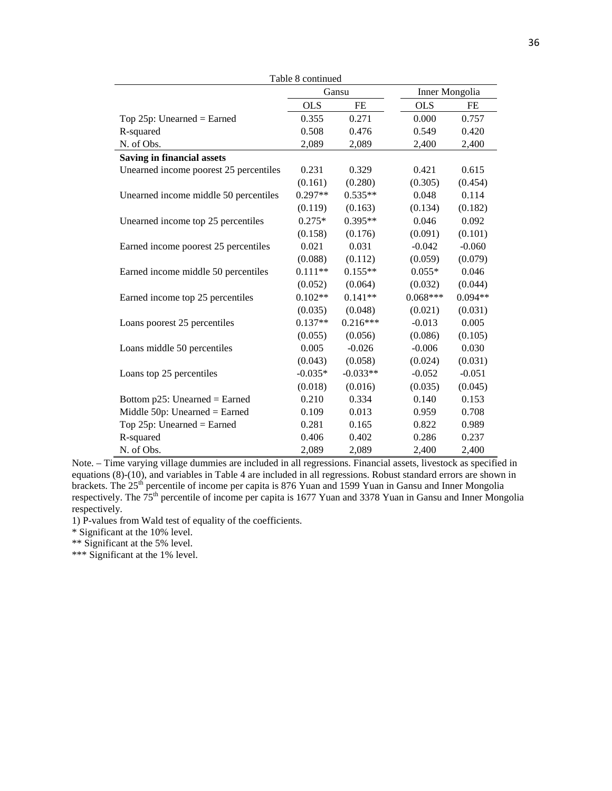| Table 8 continued                      |            |            |                |           |  |
|----------------------------------------|------------|------------|----------------|-----------|--|
|                                        | Gansu      |            | Inner Mongolia |           |  |
|                                        | <b>OLS</b> | <b>FE</b>  | <b>OLS</b>     | FE        |  |
| Top $25p$ : Unearned = Earned          | 0.355      | 0.271      | 0.000          | 0.757     |  |
| R-squared                              | 0.508      | 0.476      | 0.549          | 0.420     |  |
| N. of Obs.                             | 2,089      | 2,089      | 2,400          | 2,400     |  |
| <b>Saving in financial assets</b>      |            |            |                |           |  |
| Unearned income poorest 25 percentiles | 0.231      | 0.329      | 0.421          | 0.615     |  |
|                                        | (0.161)    | (0.280)    | (0.305)        | (0.454)   |  |
| Unearned income middle 50 percentiles  | 0.297**    | $0.535**$  | 0.048          | 0.114     |  |
|                                        | (0.119)    | (0.163)    | (0.134)        | (0.182)   |  |
| Unearned income top 25 percentiles     | $0.275*$   | $0.395**$  | 0.046          | 0.092     |  |
|                                        | (0.158)    | (0.176)    | (0.091)        | (0.101)   |  |
| Earned income poorest 25 percentiles   | 0.021      | 0.031      | $-0.042$       | $-0.060$  |  |
|                                        | (0.088)    | (0.112)    | (0.059)        | (0.079)   |  |
| Earned income middle 50 percentiles    | $0.111**$  | $0.155**$  | $0.055*$       | 0.046     |  |
|                                        | (0.052)    | (0.064)    | (0.032)        | (0.044)   |  |
| Earned income top 25 percentiles       | $0.102**$  | $0.141**$  | $0.068***$     | $0.094**$ |  |
|                                        | (0.035)    | (0.048)    | (0.021)        | (0.031)   |  |
| Loans poorest 25 percentiles           | $0.137**$  | $0.216***$ | $-0.013$       | 0.005     |  |
|                                        | (0.055)    | (0.056)    | (0.086)        | (0.105)   |  |
| Loans middle 50 percentiles            | 0.005      | $-0.026$   | $-0.006$       | 0.030     |  |
|                                        | (0.043)    | (0.058)    | (0.024)        | (0.031)   |  |
| Loans top 25 percentiles               | $-0.035*$  | $-0.033**$ | $-0.052$       | $-0.051$  |  |
|                                        | (0.018)    | (0.016)    | (0.035)        | (0.045)   |  |
| Bottom $p25$ : Unearned = Earned       | 0.210      | 0.334      | 0.140          | 0.153     |  |
| Middle $50p$ : Unearned = Earned       | 0.109      | 0.013      | 0.959          | 0.708     |  |
| Top 25p: Unearned = Earned             | 0.281      | 0.165      | 0.822          | 0.989     |  |
| R-squared                              | 0.406      | 0.402      | 0.286          | 0.237     |  |
| N. of Obs.                             | 2,089      | 2.089      | 2,400          | 2,400     |  |

Note. – Time varying village dummies are included in all regressions. Financial assets, livestock as specified in equations (8)-(10), and variables in Table 4 are included in all regressions. Robust standard errors are shown in brackets. The 25<sup>th</sup> percentile of income per capita is 876 Yuan and 1599 Yuan in Gansu and Inner Mongolia respectively. The  $75<sup>th</sup>$  percentile of income per capita is 1677 Yuan and 3378 Yuan in Gansu and Inner Mongolia respectively.

1) P-values from Wald test of equality of the coefficients.

\* Significant at the 10% level.

\*\* Significant at the 5% level.

\*\*\* Significant at the 1% level.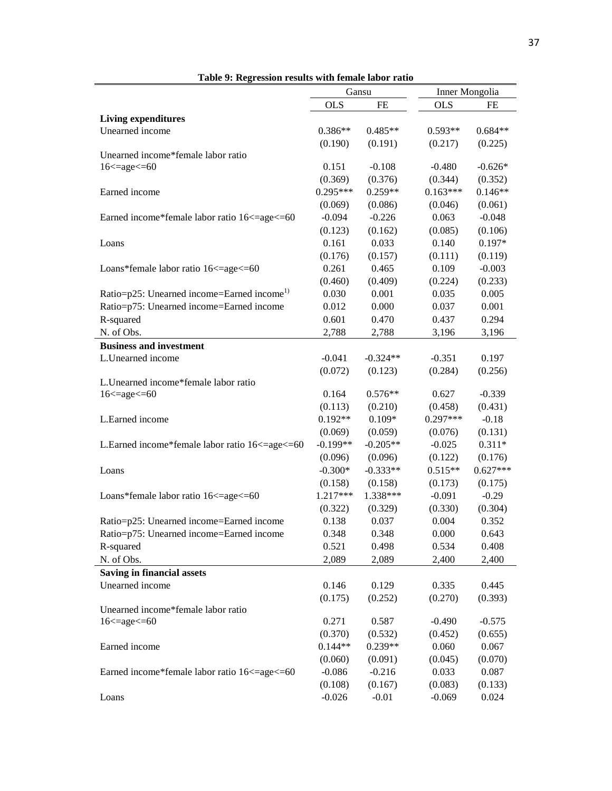|                                                        | Gansu      |            | Inner Mongolia |            |
|--------------------------------------------------------|------------|------------|----------------|------------|
|                                                        | <b>OLS</b> | <b>FE</b>  | <b>OLS</b>     | FE         |
| <b>Living expenditures</b>                             |            |            |                |            |
| Unearned income                                        | $0.386**$  | $0.485**$  | $0.593**$      | $0.684**$  |
|                                                        | (0.190)    | (0.191)    | (0.217)        | (0.225)    |
| Unearned income*female labor ratio                     |            |            |                |            |
| $16 \leq$ age $\leq$ = 60                              | 0.151      | $-0.108$   | $-0.480$       | $-0.626*$  |
|                                                        | (0.369)    | (0.376)    | (0.344)        | (0.352)    |
| Earned income                                          | $0.295***$ | $0.259**$  | $0.163***$     | $0.146**$  |
|                                                        | (0.069)    | (0.086)    | (0.046)        | (0.061)    |
| Earned income*female labor ratio 16<=age<=60           | $-0.094$   | $-0.226$   | 0.063          | $-0.048$   |
|                                                        | (0.123)    | (0.162)    | (0.085)        | (0.106)    |
| Loans                                                  | 0.161      | 0.033      | 0.140          | $0.197*$   |
|                                                        | (0.176)    | (0.157)    | (0.111)        | (0.119)    |
| Loans*female labor ratio 16 <= age <= 60               | 0.261      | 0.465      | 0.109          | $-0.003$   |
|                                                        | (0.460)    | (0.409)    | (0.224)        | (0.233)    |
| Ratio=p25: Unearned income=Earned income <sup>1)</sup> | 0.030      | 0.001      | 0.035          | 0.005      |
| Ratio=p75: Unearned income=Earned income               | 0.012      | 0.000      | 0.037          | 0.001      |
| R-squared                                              | 0.601      | 0.470      | 0.437          | 0.294      |
| N. of Obs.                                             | 2,788      | 2,788      | 3,196          | 3,196      |
| <b>Business and investment</b>                         |            |            |                |            |
| L.Unearned income                                      | $-0.041$   | $-0.324**$ | $-0.351$       | 0.197      |
|                                                        | (0.072)    | (0.123)    | (0.284)        | (0.256)    |
| L.Unearned income*female labor ratio                   |            |            |                |            |
| $16 \leq$ age $\leq$ = 60                              | 0.164      | $0.576**$  | 0.627          | $-0.339$   |
|                                                        | (0.113)    | (0.210)    | (0.458)        | (0.431)    |
| L.Earned income                                        | $0.192**$  | $0.109*$   | $0.297***$     | $-0.18$    |
|                                                        | (0.069)    | (0.059)    | (0.076)        | (0.131)    |
| L.Earned income*female labor ratio 16<=age<=60         | $-0.199**$ | $-0.205**$ | $-0.025$       | $0.311*$   |
|                                                        | (0.096)    | (0.096)    | (0.122)        | (0.176)    |
| Loans                                                  | $-0.300*$  | $-0.333**$ | $0.515**$      | $0.627***$ |
|                                                        | (0.158)    | (0.158)    | (0.173)        | (0.175)    |
| Loans*female labor ratio 16 <= age <= 60               | 1.217***   | 1.338***   | $-0.091$       | $-0.29$    |
|                                                        | (0.322)    | (0.329)    | (0.330)        | (0.304)    |
| Ratio=p25: Unearned income=Earned income               | 0.138      | 0.037      | 0.004          | 0.352      |
| Ratio=p75: Unearned income=Earned income               | 0.348      | 0.348      | 0.000          | 0.643      |
| R-squared                                              | 0.521      | 0.498      | 0.534          | 0.408      |
| N. of Obs.                                             | 2,089      | 2,089      | 2,400          | 2,400      |
| <b>Saving in financial assets</b>                      |            |            |                |            |
| Unearned income                                        | 0.146      | 0.129      | 0.335          | 0.445      |
|                                                        | (0.175)    | (0.252)    | (0.270)        | (0.393)    |
| Unearned income*female labor ratio                     |            |            |                |            |
| $16 \leq$ age $\leq$ = 60                              | 0.271      | 0.587      | $-0.490$       | $-0.575$   |
|                                                        | (0.370)    | (0.532)    | (0.452)        | (0.655)    |
| Earned income                                          | $0.144**$  | $0.239**$  | 0.060          | 0.067      |
|                                                        | (0.060)    | (0.091)    | (0.045)        | (0.070)    |
| Earned income*female labor ratio 16<=age<=60           | $-0.086$   | $-0.216$   | 0.033          | 0.087      |
|                                                        | (0.108)    | (0.167)    | (0.083)        | (0.133)    |
| Loans                                                  | $-0.026$   | $-0.01$    | $-0.069$       | 0.024      |

**Table 9: Regression results with female labor ratio**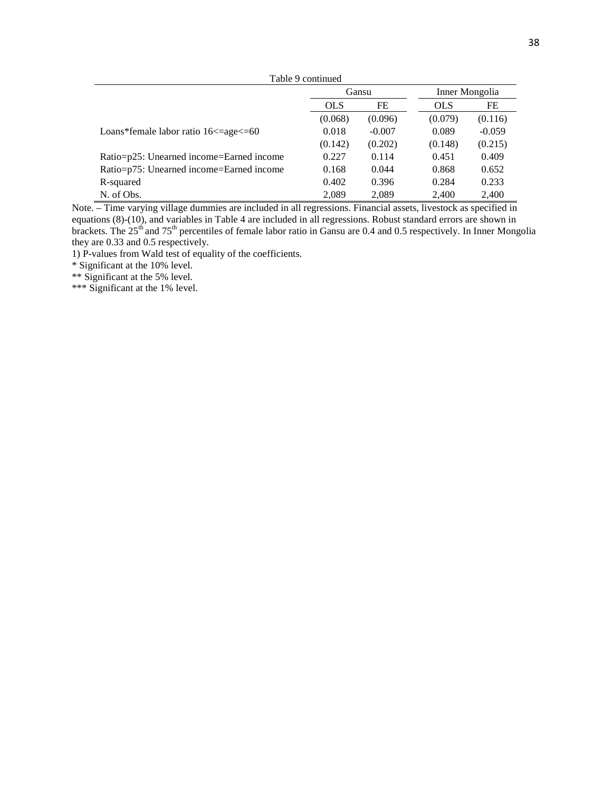| Table 9 continued                                  |            |          |                |          |  |
|----------------------------------------------------|------------|----------|----------------|----------|--|
|                                                    | Gansu      |          | Inner Mongolia |          |  |
|                                                    | <b>OLS</b> | FE       | <b>OLS</b>     | FE       |  |
|                                                    | (0.068)    | (0.096)  | (0.079)        | (0.116)  |  |
| Loans*female labor ratio $16 \leq$ =age $\leq$ =60 | 0.018      | $-0.007$ | 0.089          | $-0.059$ |  |
|                                                    | (0.142)    | (0.202)  | (0.148)        | (0.215)  |  |
| Ratio=p25: Unearned income=Earned income           | 0.227      | 0.114    | 0.451          | 0.409    |  |
| Ratio=p75: Unearned income=Earned income           | 0.168      | 0.044    | 0.868          | 0.652    |  |
| R-squared                                          | 0.402      | 0.396    | 0.284          | 0.233    |  |
| N. of Obs.                                         | 2.089      | 2.089    | 2.400          | 2.400    |  |

Note. – Time varying village dummies are included in all regressions. Financial assets, livestock as specified in equations (8)-(10), and variables in Table 4 are included in all regressions. Robust standard errors are shown in brackets. The 25<sup>th</sup> and 75<sup>th</sup> percentiles of female labor ratio in Gansu are 0.4 and 0.5 respectively. In Inner Mongolia they are 0.33 and 0.5 respectively.

1) P-values from Wald test of equality of the coefficients.

\* Significant at the 10% level.

\*\* Significant at the 5% level.

\*\*\* Significant at the 1% level.